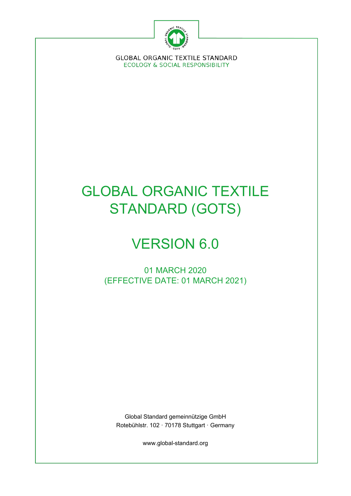

**GLOBAL ORGANIC TEXTILE STANDARD ECOLOGY & SOCIAL RESPONSIBILITY** 

# GLOBAL ORGANIC TEXTILE STANDARD (GOTS)

# VERSION 6.0

01 MARCH 2020 (EFFECTIVE DATE: 01 MARCH 2021)

Global Standard gemeinnützige GmbH Rotebühlstr. 102 · 70178 Stuttgart · Germany

www.global-standard.org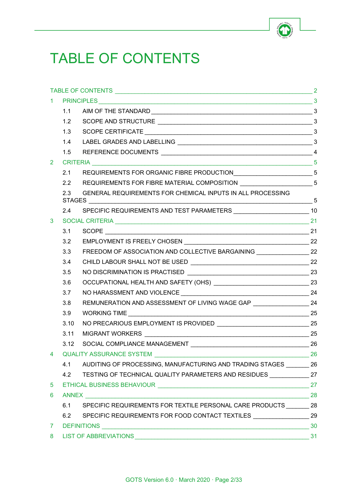

# <span id="page-1-0"></span>TABLE OF CONTENTS

|                      | 1.2  |                                                                                  |  |  |
|----------------------|------|----------------------------------------------------------------------------------|--|--|
|                      | 1.3  |                                                                                  |  |  |
|                      | 1.4  |                                                                                  |  |  |
|                      | 1.5  |                                                                                  |  |  |
| $\mathbf{2}^{\circ}$ |      |                                                                                  |  |  |
|                      | 2.1  | REQUIREMENTS FOR ORGANIC FIBRE PRODUCTION__________________________________5     |  |  |
|                      | 2.2  | REQUIREMENTS FOR FIBRE MATERIAL COMPOSITION ________________________5            |  |  |
|                      | 2.3  | GENERAL REQUIREMENTS FOR CHEMICAL INPUTS IN ALL PROCESSING                       |  |  |
|                      | 2.4  | SPECIFIC REQUIREMENTS AND TEST PARAMETERS _________________________________10    |  |  |
| 3                    |      |                                                                                  |  |  |
|                      | 3.1  |                                                                                  |  |  |
|                      | 3.2  |                                                                                  |  |  |
|                      | 3.3  | FREEDOM OF ASSOCIATION AND COLLECTIVE BARGAINING ___________________ 22          |  |  |
|                      | 3.4  |                                                                                  |  |  |
|                      | 3.5  |                                                                                  |  |  |
|                      | 3.6  |                                                                                  |  |  |
|                      | 3.7  |                                                                                  |  |  |
|                      | 3.8  | REMUNERATION AND ASSESSMENT OF LIVING WAGE GAP _____________________ 24          |  |  |
|                      | 3.9  |                                                                                  |  |  |
|                      | 3.10 |                                                                                  |  |  |
|                      | 3.11 |                                                                                  |  |  |
|                      | 3.12 |                                                                                  |  |  |
|                      |      |                                                                                  |  |  |
|                      |      | 4.1 AUDITING OF PROCESSING, MANUFACTURING AND TRADING STAGES 26                  |  |  |
|                      |      | 4.2 TESTING OF TECHNICAL QUALITY PARAMETERS AND RESIDUES ______________ 27       |  |  |
| 5                    |      |                                                                                  |  |  |
| 6                    |      |                                                                                  |  |  |
|                      | 6.1  | SPECIFIC REQUIREMENTS FOR TEXTILE PERSONAL CARE PRODUCTS ________ 28             |  |  |
|                      |      | 6.2 SPECIFIC REQUIREMENTS FOR FOOD CONTACT TEXTILES __________________________29 |  |  |
| $7 -$                |      | 30                                                                               |  |  |
|                      |      | 8 LIST OF ABBREVIATIONS                                                          |  |  |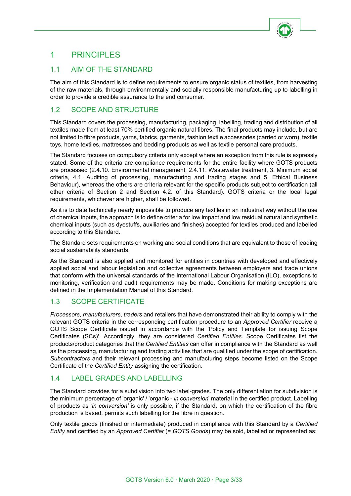

# <span id="page-2-0"></span>1 PRINCIPLES

# <span id="page-2-1"></span>1.1 AIM OF THE STANDARD

The aim of this Standard is to define requirements to ensure organic status of textiles, from harvesting of the raw materials, through environmentally and socially responsible manufacturing up to labelling in order to provide a credible assurance to the end consumer.

# <span id="page-2-2"></span>1.2 SCOPE AND STRUCTURE

This Standard covers the processing, manufacturing, packaging, labelling, trading and distribution of all textiles made from at least 70% certified organic natural fibres. The final products may include, but are not limited to fibre products, yarns, fabrics, garments, fashion textile accessories (carried or worn), textile toys, home textiles, mattresses and bedding products as well as textile personal care products.

The Standard focuses on compulsory criteria only except where an exception from this rule is expressly stated. Some of the criteria are compliance requirements for the entire facility where GOTS products are processed (2.4.10. Environmental management, 2.4.11. Wastewater treatment, 3. Minimum social criteria, 4.1. Auditing of processing, manufacturing and trading stages and 5. Ethical Business Behaviour), whereas the others are criteria relevant for the specific products subject to certification (all other criteria of Section 2 and Section 4.2. of this Standard). GOTS criteria or the local legal requirements, whichever are higher, shall be followed.

As it is to date technically nearly impossible to produce any textiles in an industrial way without the use of chemical inputs, the approach is to define criteria for low impact and low residual natural and synthetic chemical inputs (such as dyestuffs, auxiliaries and finishes) accepted for textiles produced and labelled according to this Standard.

The Standard sets requirements on working and social conditions that are equivalent to those of leading social sustainability standards.

As the Standard is also applied and monitored for entities in countries with developed and effectively applied social and labour legislation and collective agreements between employers and trade unions that conform with the universal standards of the International Labour Organisation (ILO), exceptions to monitoring, verification and audit requirements may be made. Conditions for making exceptions are defined in the Implementation Manual of this Standard.

# <span id="page-2-3"></span>1.3 SCOPE CERTIFICATE

*Processors*, *manufacturers*, *traders* and retailers that have demonstrated their ability to comply with the relevant GOTS criteria in the corresponding certification procedure to an *Approved Certifier* receive a GOTS Scope Certificate issued in accordance with the 'Policy and Template for issuing Scope Certificates (SCs)'. Accordingly, they are considered *Certified Entities*. Scope Certificates list the products/product categories that the *Certified Entities* can offer in compliance with the Standard as well as the processing, manufacturing and trading activities that are qualified under the scope of certification. *Subcontractors* and their relevant processing and manufacturing steps become listed on the Scope Certificate of the *Certified Entity* assigning the certification.

# <span id="page-2-4"></span>1.4 LABEL GRADES AND LABELLING

The Standard provides for a subdivision into two label-grades. The only differentiation for subdivision is the minimum percentage of 'organic' / 'organic - *in conversion*' material in the certified product. Labelling of products as *'in conversion'* is only possible, if the Standard, on which the certification of the fibre production is based, permits such labelling for the fibre in question.

Only textile goods (finished or intermediate) produced in compliance with this Standard by a *Certified Entity* and certified by an *Approved Certifier* (= *GOTS Goods*) may be sold, labelled or represented as: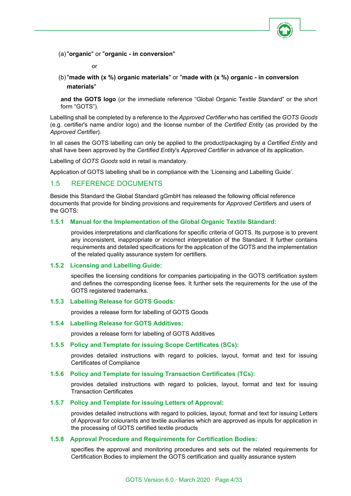

(a)"**organic**" or "**organic - in conversion**"

or

(b)"**made with (x %) organic materials**" or "**made with (x %) organic - in conversion materials**"

**and the GOTS logo** (or the immediate reference "Global Organic Textile Standard" or the short form "GOTS").

Labelling shall be completed by a reference to the *Approved Certifier* who has certified the *GOTS Goods* (e.g. certifier's name and/or logo) and the license number of the *Certified Entity* (as provided by the *Approved Certifier*).

In all cases the GOTS labelling can only be applied to the product/packaging by a *Certified Entity* and shall have been approved by the *Certified Entity*'s *Approved Certifier* in advance of its application.

Labelling of *GOTS Goods* sold in retail is mandatory.

Application of GOTS labelling shall be in compliance with the 'Licensing and Labelling Guide'.

## <span id="page-3-0"></span>1.5 REFERENCE DOCUMENTS

Beside this Standard the Global Standard gGmbH has released the following official reference documents that provide for binding provisions and requirements for *Approved Certifier*s and users of the GOTS:

#### **1.5.1 Manual for the Implementation of the Global Organic Textile Standard:**

provides interpretations and clarifications for specific criteria of GOTS. Its purpose is to prevent any inconsistent, inappropriate or incorrect interpretation of the Standard. It further contains requirements and detailed specifications for the application of the GOTS and the implementation of the related quality assurance system for certifiers.

#### **1.5.2 Licensing and Labelling Guide:**

specifies the licensing conditions for companies participating in the GOTS certification system and defines the corresponding license fees. It further sets the requirements for the use of the GOTS registered trademarks.

#### **1.5.3 Labelling Release for GOTS Goods:**

provides a release form for labelling of GOTS Goods

#### **1.5.4 Labelling Release for GOTS Additives:**

provides a release form for labelling of GOTS Additives

#### **1.5.5 Policy and Template for issuing Scope Certificates (SCs):**

provides detailed instructions with regard to policies, layout, format and text for issuing Certificates of Compliance

#### **1.5.6 Policy and Template for issuing Transaction Certificates (TCs):**

provides detailed instructions with regard to policies, layout, format and text for issuing Transaction Certificates

#### **1.5.7 Policy and Template for issuing Letters of Approval:**

provides detailed instructions with regard to policies, layout, format and text for issuing Letters of Approval for colourants and textile auxiliaries which are approved as inputs for application in the processing of GOTS certified textile products

#### **1.5.8 Approval Procedure and Requirements for Certification Bodies:**

specifies the approval and monitoring procedures and sets out the related requirements for Certification Bodies to implement the GOTS certification and quality assurance system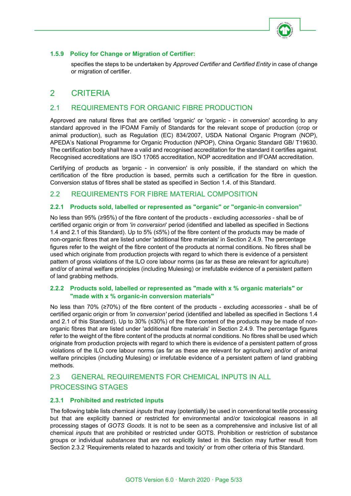

## **1.5.9 Policy for Change or Migration of Certifier:**

specifies the steps to be undertaken by *Approved Certifier* and *Certified Entity* in case of change or migration of certifier.

# <span id="page-4-0"></span>2 CRITERIA

# <span id="page-4-1"></span>2.1 REQUIREMENTS FOR ORGANIC FIBRE PRODUCTION

Approved are natural fibres that are certified 'organic' or 'organic - in conversion' according to any standard approved in the IFOAM Family of Standards for the relevant scope of production (crop or animal production), such as Regulation (EC) 834/2007, USDA National Organic Program (NOP), APEDA's National Programme for Organic Production (NPOP), China Organic Standard GB/ T19630. The certification body shall have a valid and recognised accreditation for the standard it certifies against. Recognised accreditations are ISO 17065 accreditation, NOP accreditation and IFOAM accreditation.

Certifying of products as *'*organic - in conversion' is only possible, if the standard on which the certification of the fibre production is based, permits such a certification for the fibre in question. Conversion status of fibres shall be stated as specified in Section 1.4. of this Standard.

# <span id="page-4-2"></span>2.2 REQUIREMENTS FOR FIBRE MATERIAL COMPOSITION

## **2.2.1 Products sold, labelled or represented as "organic" or "organic-in conversion"**

No less than 95% (≥95%) of the fibre content of the products - excluding *accessories* - shall be of certified organic origin or from *'in conversion*' period (identified and labelled as specified in Sections 1.4 and 2.1 of this Standard). Up to 5% (≤5%) of the fibre content of the products may be made of non-organic fibres that are listed under 'additional fibre materials' in Section 2.4.9. The percentage figures refer to the weight of the fibre content of the products at normal conditions. No fibres shall be used which originate from production projects with regard to which there is evidence of a persistent pattern of gross violations of the ILO core labour norms (as far as these are relevant for agriculture) and/or of animal welfare principles (including Mulesing) or irrefutable evidence of a persistent pattern of land grabbing methods.

## **2.2.2 Products sold, labelled or represented as "made with x % organic materials" or "made with x % organic-in conversion materials"**

No less than 70% (≥70%) of the fibre content of the products - excluding *accessories* - shall be of certified organic origin or from *'in conversion'* period (identified and labelled as specified in Sections 1.4 and 2.1 of this Standard). Up to 30% (≤30%) of the fibre content of the products may be made of nonorganic fibres that are listed under 'additional fibre materials' in Section 2.4.9. The percentage figures refer to the weight of the fibre content of the products at normal conditions. No fibres shall be used which originate from production projects with regard to which there is evidence of a persistent pattern of gross violations of the ILO core labour norms (as far as these are relevant for agriculture) and/or of animal welfare principles (including Mulesing) or irrefutable evidence of a persistent pattern of land grabbing methods.

# <span id="page-4-3"></span>2.3 GENERAL REQUIREMENTS FOR CHEMICAL INPUTS IN ALL PROCESSING STAGES

#### **2.3.1 Prohibited and restricted inputs**

The following table lists chemical *inputs* that may (potentially) be used in conventional textile processing but that are explicitly banned or restricted for environmental and/or toxicological reasons in all processing stages of *GOTS Goods*. It is not to be seen as a comprehensive and inclusive list of all chemical *inputs* that are prohibited or restricted under GOTS. Prohibition or restriction of substance groups or individual *substances* that are not explicitly listed in this Section may further result from Section 2.3.2 'Requirements related to hazards and toxicity' or from other criteria of this Standard.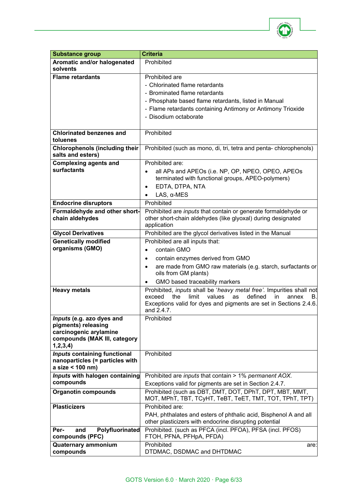

| <b>Substance group</b>                                 | <b>Criteria</b>                                                                                                                                                                                                                          |
|--------------------------------------------------------|------------------------------------------------------------------------------------------------------------------------------------------------------------------------------------------------------------------------------------------|
| Aromatic and/or halogenated<br>solvents                | Prohibited                                                                                                                                                                                                                               |
| <b>Flame retardants</b>                                | Prohibited are                                                                                                                                                                                                                           |
|                                                        | - Chlorinated flame retardants                                                                                                                                                                                                           |
|                                                        | - Brominated flame retardants                                                                                                                                                                                                            |
|                                                        | - Phosphate based flame retardants, listed in Manual                                                                                                                                                                                     |
|                                                        | - Flame retardants containing Antimony or Antimony Trioxide                                                                                                                                                                              |
|                                                        | - Disodium octaborate                                                                                                                                                                                                                    |
|                                                        |                                                                                                                                                                                                                                          |
| <b>Chlorinated benzenes and</b><br>toluenes            | Prohibited                                                                                                                                                                                                                               |
| <b>Chlorophenols (including their</b>                  | Prohibited (such as mono, di, tri, tetra and penta-chlorophenols)                                                                                                                                                                        |
| salts and esters)                                      |                                                                                                                                                                                                                                          |
| <b>Complexing agents and</b>                           | Prohibited are:                                                                                                                                                                                                                          |
| surfactants                                            | all APs and APEOs (i.e. NP, OP, NPEO, OPEO, APEOs                                                                                                                                                                                        |
|                                                        | terminated with functional groups, APEO-polymers)                                                                                                                                                                                        |
|                                                        | EDTA, DTPA, NTA                                                                                                                                                                                                                          |
|                                                        | LAS, $\alpha$ -MES                                                                                                                                                                                                                       |
| <b>Endocrine disruptors</b>                            | Prohibited<br>Prohibited are <i>inputs</i> that contain or generate formaldehyde or                                                                                                                                                      |
| Formaldehyde and other short-<br>chain aldehydes       | other short-chain aldehydes (like glyoxal) during designated                                                                                                                                                                             |
|                                                        | application                                                                                                                                                                                                                              |
| <b>Glycol Derivatives</b>                              | Prohibited are the glycol derivatives listed in the Manual                                                                                                                                                                               |
| <b>Genetically modified</b>                            | Prohibited are all inputs that:                                                                                                                                                                                                          |
| organisms (GMO)                                        | contain GMO                                                                                                                                                                                                                              |
|                                                        | contain enzymes derived from GMO                                                                                                                                                                                                         |
|                                                        | are made from GMO raw materials (e.g. starch, surfactants or<br>$\bullet$<br>oils from GM plants)                                                                                                                                        |
|                                                        | GMO based traceability markers                                                                                                                                                                                                           |
| <b>Heavy metals</b>                                    | Prohibited, <i>inputs</i> shall be 'heavy metal free'. Impurities shall not<br>the<br>limit<br>defined<br>exceed<br>values<br>as<br>in<br>annex<br>В.<br>Exceptions valid for dyes and pigments are set in Sections 2.4.6.<br>and 2.4.7. |
| Inputs (e.g. azo dyes and                              | Prohibited                                                                                                                                                                                                                               |
| pigments) releasing                                    |                                                                                                                                                                                                                                          |
| carcinogenic arylamine<br>compounds (MAK III, category |                                                                                                                                                                                                                                          |
| 1, 2, 3, 4)                                            |                                                                                                                                                                                                                                          |
| <b>Inputs containing functional</b>                    | Prohibited                                                                                                                                                                                                                               |
| nanoparticles (= particles with                        |                                                                                                                                                                                                                                          |
| a size < 100 nm)                                       |                                                                                                                                                                                                                                          |
| Inputs with halogen containing                         | Prohibited are inputs that contain > 1% permanent AOX.                                                                                                                                                                                   |
| compounds                                              | Exceptions valid for pigments are set in Section 2.4.7.                                                                                                                                                                                  |
| <b>Organotin compounds</b>                             | Prohibited (such as DBT, DMT, DOT, DPhT, DPT, MBT, MMT,<br>MOT, MPhT, TBT, TCyHT, TeBT, TeET, TMT, TOT, TPhT, TPT)                                                                                                                       |
| <b>Plasticizers</b>                                    | Prohibited are:                                                                                                                                                                                                                          |
|                                                        | PAH, phthalates and esters of phthalic acid, Bisphenol A and all<br>other plasticizers with endocrine disrupting potential                                                                                                               |
| Polyfluorinated<br>Per-<br>and                         | Prohibited. (such as PFCA (incl. PFOA), PFSA (incl. PFOS)                                                                                                                                                                                |
| compounds (PFC)                                        | FTOH, PFNA, PFHpA, PFDA)<br>Prohibited                                                                                                                                                                                                   |
| <b>Quaternary ammonium</b><br>compounds                | are:<br>DTDMAC, DSDMAC and DHTDMAC                                                                                                                                                                                                       |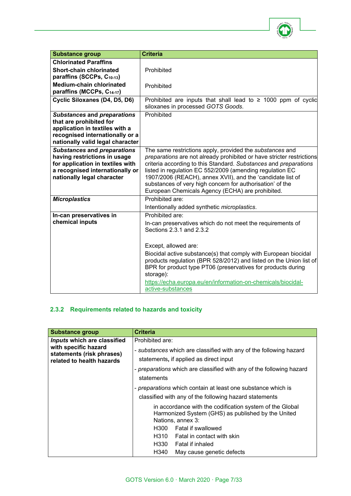

| <b>Substance group</b>                                                                                                                                                  | <b>Criteria</b>                                                                                                                                                                                                                                                                                                                                                                                                                                  |
|-------------------------------------------------------------------------------------------------------------------------------------------------------------------------|--------------------------------------------------------------------------------------------------------------------------------------------------------------------------------------------------------------------------------------------------------------------------------------------------------------------------------------------------------------------------------------------------------------------------------------------------|
| <b>Chlorinated Paraffins</b>                                                                                                                                            |                                                                                                                                                                                                                                                                                                                                                                                                                                                  |
| <b>Short-chain chlorinated</b><br>paraffins (SCCPs, C <sub>10-13</sub> )                                                                                                | Prohibited                                                                                                                                                                                                                                                                                                                                                                                                                                       |
| <b>Medium-chain chlorinated</b><br>paraffins (MCCPs, C14-17)                                                                                                            | Prohibited                                                                                                                                                                                                                                                                                                                                                                                                                                       |
| Cyclic Siloxanes (D4, D5, D6)                                                                                                                                           | Prohibited are inputs that shall lead to $\geq$ 1000 ppm of cyclic<br>siloxanes in processed GOTS Goods.                                                                                                                                                                                                                                                                                                                                         |
| <b>Substances and preparations</b><br>that are prohibited for<br>application in textiles with a<br>recognised internationally or a<br>nationally valid legal character  | Prohibited                                                                                                                                                                                                                                                                                                                                                                                                                                       |
| <b>Substances and preparations</b><br>having restrictions in usage<br>for application in textiles with<br>a recognised internationally or<br>nationally legal character | The same restrictions apply, provided the substances and<br>preparations are not already prohibited or have stricter restrictions<br>criteria according to this Standard. Substances and preparations<br>listed in regulation EC 552/2009 (amending regulation EC<br>1907/2006 (REACH), annex XVII), and the 'candidate list of<br>substances of very high concern for authorisation' of the<br>European Chemicals Agency (ECHA) are prohibited. |
| <b>Microplastics</b>                                                                                                                                                    | Prohibited are:                                                                                                                                                                                                                                                                                                                                                                                                                                  |
| In-can preservatives in                                                                                                                                                 | Intentionally added synthetic microplastics.<br>Prohibited are:                                                                                                                                                                                                                                                                                                                                                                                  |
| chemical inputs                                                                                                                                                         | In-can preservatives which do not meet the requirements of<br>Sections 2.3.1 and 2.3.2                                                                                                                                                                                                                                                                                                                                                           |
|                                                                                                                                                                         | Except, allowed are:                                                                                                                                                                                                                                                                                                                                                                                                                             |
|                                                                                                                                                                         | Biocidal active substance(s) that comply with European biocidal<br>products regulation (BPR 528/2012) and listed on the Union list of<br>BPR for product type PT06 (preservatives for products during<br>storage):                                                                                                                                                                                                                               |
|                                                                                                                                                                         | https://echa.europa.eu/en/information-on-chemicals/biocidal-<br>active-substances                                                                                                                                                                                                                                                                                                                                                                |

# **2.3.2 Requirements related to hazards and toxicity**

| <b>Substance group</b>                                                         | <b>Criteria</b>                                                                                                                     |
|--------------------------------------------------------------------------------|-------------------------------------------------------------------------------------------------------------------------------------|
| Inputs which are classified                                                    | Prohibited are:                                                                                                                     |
| with specific hazard<br>statements (risk phrases)<br>related to health hazards | - substances which are classified with any of the following hazard<br>statements, if applied as direct input                        |
|                                                                                | - preparations which are classified with any of the following hazard                                                                |
|                                                                                |                                                                                                                                     |
|                                                                                | statements                                                                                                                          |
|                                                                                | - preparations which contain at least one substance which is                                                                        |
|                                                                                | classified with any of the following hazard statements                                                                              |
|                                                                                | in accordance with the codification system of the Global<br>Harmonized System (GHS) as published by the United<br>Nations, annex 3: |
|                                                                                | Fatal if swallowed<br>H300                                                                                                          |
|                                                                                | H310 Fatal in contact with skin                                                                                                     |
|                                                                                | H330<br>Fatal if inhaled                                                                                                            |
|                                                                                | H340<br>May cause genetic defects                                                                                                   |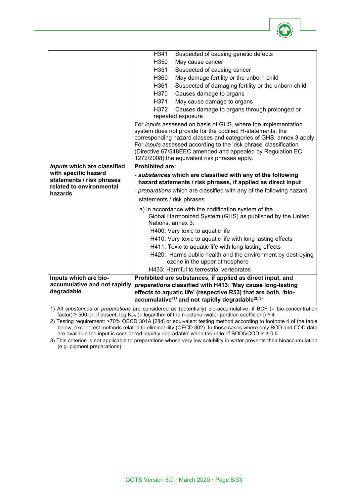

| H341<br>Suspected of causing genetic defects<br>H350<br>May cause cancer<br>H351<br>Suspected of causing cancer<br>H360<br>May damage fertility or the unborn child<br>H361<br>Suspected of damaging fertility or the unborn child<br>H370<br>Causes damage to organs<br>H371<br>May cause damage to organs                                                                           |  |
|---------------------------------------------------------------------------------------------------------------------------------------------------------------------------------------------------------------------------------------------------------------------------------------------------------------------------------------------------------------------------------------|--|
|                                                                                                                                                                                                                                                                                                                                                                                       |  |
|                                                                                                                                                                                                                                                                                                                                                                                       |  |
|                                                                                                                                                                                                                                                                                                                                                                                       |  |
|                                                                                                                                                                                                                                                                                                                                                                                       |  |
|                                                                                                                                                                                                                                                                                                                                                                                       |  |
|                                                                                                                                                                                                                                                                                                                                                                                       |  |
|                                                                                                                                                                                                                                                                                                                                                                                       |  |
| Causes damage to organs through prolonged or<br>H372                                                                                                                                                                                                                                                                                                                                  |  |
| repeated exposure                                                                                                                                                                                                                                                                                                                                                                     |  |
| For inputs assessed on basis of GHS, where the implementation<br>system does not provide for the codified H-statements, the<br>corresponding hazard classes and categories of GHS, annex 3 apply.<br>For inputs assessed according to the 'risk phrase' classification<br>(Directive 67/548EEC amended and appealed by Regulation EC<br>1272/2008) the equivalent risk phrases apply. |  |
| <b>Prohibited are:</b><br>Inputs which are classified                                                                                                                                                                                                                                                                                                                                 |  |
| with specific hazard<br>- substances which are classified with any of the following                                                                                                                                                                                                                                                                                                   |  |
| statements / risk phrases<br>hazard statements / risk phrases, if applied as direct input<br>related to environmental                                                                                                                                                                                                                                                                 |  |
| - preparations which are classified with any of the following hazard<br>hazards                                                                                                                                                                                                                                                                                                       |  |
| statements / risk phrases                                                                                                                                                                                                                                                                                                                                                             |  |
| a) in accordance with the codification system of the                                                                                                                                                                                                                                                                                                                                  |  |
| Global Harmonized System (GHS) as published by the United<br>Nations, annex 3:                                                                                                                                                                                                                                                                                                        |  |
| H400: Very toxic to aquatic life                                                                                                                                                                                                                                                                                                                                                      |  |
| H410: Very toxic to aquatic life with long lasting effects                                                                                                                                                                                                                                                                                                                            |  |
| H411: Toxic to aquatic life with long lasting effects                                                                                                                                                                                                                                                                                                                                 |  |
| H420: Harms public health and the environment by destroying                                                                                                                                                                                                                                                                                                                           |  |
| ozone in the upper atmosphere                                                                                                                                                                                                                                                                                                                                                         |  |
| H433: Harmful to terrestrial vertebrates                                                                                                                                                                                                                                                                                                                                              |  |
| Prohibited are substances, if applied as direct input, and<br>Inputs which are bio-                                                                                                                                                                                                                                                                                                   |  |
| accumulative and not rapidly<br>preparations classified with H413: 'May cause long-lasting                                                                                                                                                                                                                                                                                            |  |
| degradable<br>effects to aquatic life' (respective R53) that are both, 'bio-<br>accumulative <sup>'1)</sup> and not rapidly degradable <sup>2), 3)</sup>                                                                                                                                                                                                                              |  |

1) All *substances* or *preparations* are considered as (potentially) bio-accumulative, if BCF (= bio-concentration factor) ≥ 500 or, if absent, log K<sub>ow</sub> (= logarithm of the n-octanol-water partition coefficient) ≥ 4

2) Testing requirement: >70% OECD 301A [28d] or equivalent testing method according to footnote 4 of the table below, except test methods related to eliminability (OECD 302). In those cases where only BOD and COD data are available the input is considered 'rapidly degradable' when the ratio of BOD5/COD is  $\geq 0.5$ .

3) This criterion is not applicable to preparations whose very low solubility in water prevents their bioaccumulation (e.g. pigment preparations)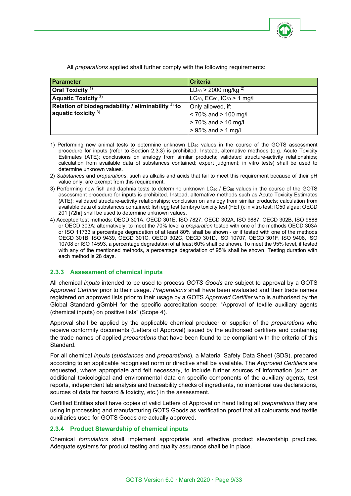

All *preparations* applied shall further comply with the following requirements:

| <b>Parameter</b>                                      | <b>Criteria</b>                                          |
|-------------------------------------------------------|----------------------------------------------------------|
| Oral Toxicity <sup>1)</sup>                           | $LD_{50}$ > 2000 mg/kg <sup>2)</sup>                     |
| Aquatic Toxicity <sup>3)</sup>                        | $LC_{50}$ , EC <sub>50</sub> , IC <sub>50</sub> > 1 mg/l |
| Relation of biodegradability / eliminability $4$ ) to | Only allowed, if:                                        |
| aquatic toxicity $3)$                                 | $< 70\%$ and $> 100$ mg/l                                |
|                                                       | $> 70\%$ and $> 10$ mg/l                                 |
|                                                       | $> 95\%$ and $> 1$ mg/l                                  |

- 1) Performing new animal tests to determine unknown LD<sub>50</sub> values in the course of the GOTS assessment procedure for inputs (refer to Section 2.3.3) is prohibited. Instead, alternative methods (e.g. Acute Toxicity Estimates (ATE); conclusions on analogy from similar products; validated structure-activity relationships; calculation from available data of substances contained; expert judgment; in vitro tests) shall be used to determine unknown values.
- 2) *Substances* and *preparations*, such as alkalis and acids that fail to meet this requirement because of their pH value only, are exempt from this requirement.
- 3) Performing new fish and daphnia tests to determine unknown  $LC_{50}$  /  $EC_{50}$  values in the course of the GOTS assessment procedure for inputs is prohibited. Instead, alternative methods such as Acute Toxicity Estimates (ATE); validated structure-activity relationships; conclusion on analogy from similar products; calculation from available data of substances contained; fish egg test (embryo toxicity test (FET)); in vitro test; IC50 algae; OECD 201 [72hr] shall be used to determine unknown values.
- 4) Accepted test methods: OECD 301A, OECD 301E, ISO 7827, OECD 302A, ISO 9887, OECD 302B, ISO 9888 or OECD 303A; alternatively, to meet the 70% level a *preparation* tested with one of the methods OECD 303A or ISO 11733 a percentage degradation of at least 80% shall be shown - or if tested with one of the methods OECD 301B, ISO 9439, OECD 301C, OECD 302C, OECD 301D, ISO 10707, OECD 301F, ISO 9408, ISO 10708 or ISO 14593, a percentage degradation of at least 60% shall be shown. To meet the 95% level, if tested with any of the mentioned methods, a percentage degradation of 95% shall be shown. Testing duration with each method is 28 days.

#### **2.3.3 Assessment of chemical inputs**

All chemical *inputs* intended to be used to process *GOTS Goods* are subject to approval by a GOTS *Approved Certifier* prior to their usage. *Preparations* shall have been evaluated and their trade names registered on approved lists prior to their usage by a GOTS *Approved Certifier* who is authorised by the Global Standard gGmbH for the specific accreditation scope: "Approval of textile auxiliary agents (chemical inputs) on positive lists" (Scope 4).

Approval shall be applied by the applicable chemical producer or supplier of the *preparations* who receive conformity documents (Letters of Approval) issued by the authorised certifiers and containing the trade names of applied *preparations* that have been found to be compliant with the criteria of this Standard.

For all chemical *inputs* (*substances* and *preparations*), a Material Safety Data Sheet (SDS), prepared according to an applicable recognised norm or directive shall be available. The *Approved Certifier*s are requested, where appropriate and felt necessary, to include further sources of information (such as additional toxicological and environmental data on specific components of the auxiliary agents, test reports, independent lab analysis and traceability checks of ingredients, no intentional use declarations, sources of data for hazard & toxicity, etc.) in the assessment.

Certified Entities shall have copies of valid Letters of Approval on hand listing all *preparations* they are using in processing and manufacturing GOTS Goods as verification proof that all colourants and textile auxiliaries used for GOTS Goods are actually approved.

#### **2.3.4 Product Stewardship of chemical inputs**

Chemical *formulators* shall implement appropriate and effective product stewardship practices. Adequate systems for product testing and quality assurance shall be in place.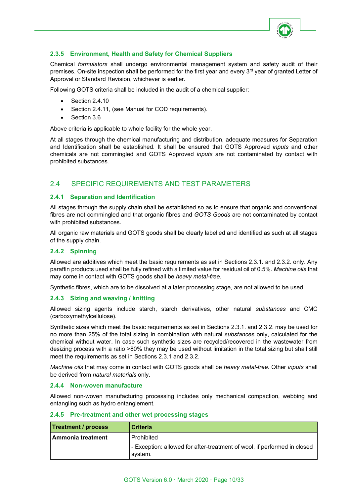

## **2.3.5 Environment, Health and Safety for Chemical Suppliers**

Chemical *formulators* shall undergo environmental management system and safety audit of their premises. On-site inspection shall be performed for the first year and every 3<sup>rd</sup> year of granted Letter of Approval or Standard Revision, whichever is earlier.

Following GOTS criteria shall be included in the audit of a chemical supplier:

- Section 2.4.10
- Section 2.4.11, (see Manual for COD requirements).
- Section 3.6

Above criteria is applicable to whole facility for the whole year.

At all stages through the chemical manufacturing and distribution, adequate measures for Separation and Identification shall be established. It shall be ensured that GOTS Approved *inputs* and other chemicals are not commingled and GOTS Approved *inputs* are not contaminated by contact with prohibited substances.

# <span id="page-9-0"></span>2.4 SPECIFIC REQUIREMENTS AND TEST PARAMETERS

#### **2.4.1 Separation and Identification**

All stages through the supply chain shall be established so as to ensure that organic and conventional fibres are not commingled and that organic fibres and *GOTS Goods* are not contaminated by contact with prohibited substances.

All organic raw materials and GOTS goods shall be clearly labelled and identified as such at all stages of the supply chain.

## **2.4.2 Spinning**

Allowed are additives which meet the basic requirements as set in Sections 2.3.1. and 2.3.2. only. Any paraffin products used shall be fully refined with a limited value for residual oil of 0.5%. *Machine oils* that may come in contact with GOTS goods shall be *heavy metal-free*.

Synthetic fibres, which are to be dissolved at a later processing stage, are not allowed to be used.

#### **2.4.3 Sizing and weaving / knitting**

Allowed sizing agents include starch, starch derivatives, other natural *substances* and CMC (carboxymethylcellulose).

Synthetic sizes which meet the basic requirements as set in Sections 2.3.1. and 2.3.2. may be used for no more than 25% of the total sizing in combination with natural *substances* only, calculated for the chemical without water. In case such synthetic sizes are recycled/recovered in the wastewater from desizing process with a ratio >80% they may be used without limitation in the total sizing but shall still meet the requirements as set in Sections 2.3.1 and 2.3.2.

*Machine oils* that may come in contact with GOTS goods shall be *heavy metal-free*. Other *inputs* shall be derived from *natural materials* only.

#### **2.4.4 Non-woven manufacture**

Allowed non-woven manufacturing processing includes only mechanical compaction, webbing and entangling such as hydro entanglement.

| <b>Treatment / process</b> | l Criteria                                                                          |
|----------------------------|-------------------------------------------------------------------------------------|
| Ammonia treatment          | l Prohibited                                                                        |
|                            | - Exception: allowed for after-treatment of wool, if performed in closed<br>system. |

#### **2.4.5 Pre-treatment and other wet processing stages**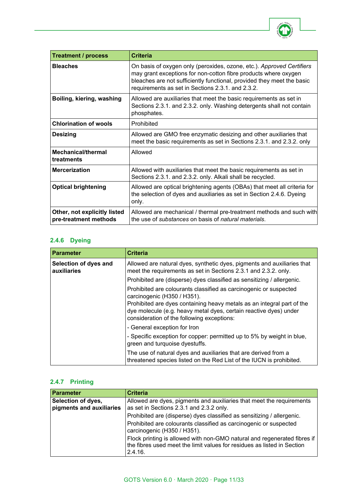

| <b>Treatment / process</b>                            | Criteria                                                                                                                                                                                                                                                                |
|-------------------------------------------------------|-------------------------------------------------------------------------------------------------------------------------------------------------------------------------------------------------------------------------------------------------------------------------|
| <b>Bleaches</b>                                       | On basis of oxygen only (peroxides, ozone, etc.). Approved Certifiers<br>may grant exceptions for non-cotton fibre products where oxygen<br>bleaches are not sufficiently functional, provided they meet the basic<br>requirements as set in Sections 2.3.1. and 2.3.2. |
| Boiling, kiering, washing                             | Allowed are auxiliaries that meet the basic requirements as set in<br>Sections 2.3.1. and 2.3.2. only. Washing detergents shall not contain<br>phosphates.                                                                                                              |
| <b>Chlorination of wools</b>                          | Prohibited                                                                                                                                                                                                                                                              |
| <b>Desizing</b>                                       | Allowed are GMO free enzymatic desizing and other auxiliaries that<br>meet the basic requirements as set in Sections 2.3.1. and 2.3.2. only                                                                                                                             |
| <b>Mechanical/thermal</b><br>treatments               | Allowed                                                                                                                                                                                                                                                                 |
| <b>Mercerization</b>                                  | Allowed with auxiliaries that meet the basic requirements as set in<br>Sections 2.3.1. and 2.3.2. only. Alkali shall be recycled.                                                                                                                                       |
| <b>Optical brightening</b>                            | Allowed are optical brightening agents (OBAs) that meet all criteria for<br>the selection of dyes and auxiliaries as set in Section 2.4.6. Dyeing<br>only.                                                                                                              |
| Other, not explicitly listed<br>pre-treatment methods | Allowed are mechanical / thermal pre-treatment methods and such with<br>the use of substances on basis of natural materials.                                                                                                                                            |

# **2.4.6 Dyeing**

| <b>Parameter</b>                     | <b>Criteria</b>                                                                                                                                                                           |
|--------------------------------------|-------------------------------------------------------------------------------------------------------------------------------------------------------------------------------------------|
| Selection of dyes and<br>auxiliaries | Allowed are natural dyes, synthetic dyes, pigments and auxiliaries that<br>meet the requirements as set in Sections 2.3.1 and 2.3.2. only.                                                |
|                                      | Prohibited are (disperse) dyes classified as sensitizing / allergenic.                                                                                                                    |
|                                      | Prohibited are colourants classified as carcinogenic or suspected<br>carcinogenic (H350 / H351).                                                                                          |
|                                      | Prohibited are dyes containing heavy metals as an integral part of the<br>dye molecule (e.g. heavy metal dyes, certain reactive dyes) under<br>consideration of the following exceptions: |
|                                      | - General exception for Iron                                                                                                                                                              |
|                                      | - Specific exception for copper: permitted up to 5% by weight in blue,<br>green and turquoise dyestuffs.                                                                                  |
|                                      | The use of natural dyes and auxiliaries that are derived from a<br>threatened species listed on the Red List of the IUCN is prohibited.                                                   |

# **2.4.7 Printing**

| Parameter                                      | <b>Criteria</b>                                                                                                                                                |
|------------------------------------------------|----------------------------------------------------------------------------------------------------------------------------------------------------------------|
| Selection of dyes,<br>pigments and auxiliaries | Allowed are dyes, pigments and auxiliaries that meet the requirements<br>as set in Sections 2.3.1 and 2.3.2 only.                                              |
|                                                | Prohibited are (disperse) dyes classified as sensitizing / allergenic.                                                                                         |
|                                                | Prohibited are colourants classified as carcinogenic or suspected<br>carcinogenic (H350 / H351).                                                               |
|                                                | Flock printing is allowed with non-GMO natural and regenerated fibres if<br>the fibres used meet the limit values for residues as listed in Section<br>2.4.16. |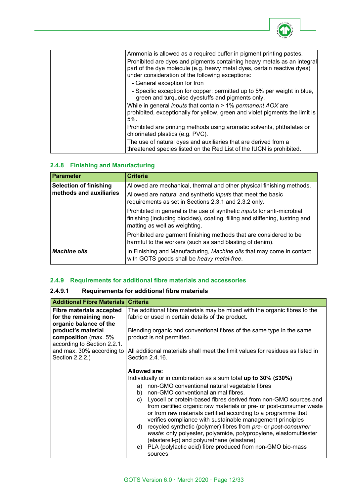| Ammonia is allowed as a required buffer in pigment printing pastes.                                                                                                                                    |
|--------------------------------------------------------------------------------------------------------------------------------------------------------------------------------------------------------|
| Prohibited are dyes and pigments containing heavy metals as an integral<br>part of the dye molecule (e.g. heavy metal dyes, certain reactive dyes)<br>under consideration of the following exceptions: |
| - General exception for Iron                                                                                                                                                                           |
| - Specific exception for copper: permitted up to 5% per weight in blue,<br>green and turquoise dyestuffs and pigments only.                                                                            |
| While in general <i>inputs</i> that contain > 1% permanent AOX are<br>prohibited, exceptionally for yellow, green and violet pigments the limit is<br>$5%$ .                                           |
| Prohibited are printing methods using aromatic solvents, phthalates or<br>chlorinated plastics (e.g. PVC).                                                                                             |
| The use of natural dyes and auxiliaries that are derived from a<br>threatened species listed on the Red List of the IUCN is prohibited.                                                                |

# **2.4.8 Finishing and Manufacturing**

| <b>Parameter</b>              | <b>Criteria</b>                                                                                                                                                                                  |
|-------------------------------|--------------------------------------------------------------------------------------------------------------------------------------------------------------------------------------------------|
| <b>Selection of finishing</b> | Allowed are mechanical, thermal and other physical finishing methods.                                                                                                                            |
| methods and auxiliaries       | Allowed are natural and synthetic <i>inputs</i> that meet the basic<br>requirements as set in Sections 2.3.1 and 2.3.2 only.                                                                     |
|                               | Prohibited in general is the use of synthetic <i>inputs</i> for anti-microbial<br>finishing (including biocides), coating, filling and stiffening, lustring and<br>matting as well as weighting. |
|                               | Prohibited are garment finishing methods that are considered to be<br>harmful to the workers (such as sand blasting of denim).                                                                   |
| <b>Machine oils</b>           | In Finishing and Manufacturing, Machine oils that may come in contact<br>with GOTS goods shall be heavy metal-free.                                                                              |

# **2.4.9 Requirements for additional fibre materials and accessories**

# **2.4.9.1 Requirements for additional fibre materials**

| <b>Additional Fibre Materials   Criteria</b>                                        |                                                                                                                                                                                                                                                                              |
|-------------------------------------------------------------------------------------|------------------------------------------------------------------------------------------------------------------------------------------------------------------------------------------------------------------------------------------------------------------------------|
| <b>Fibre materials accepted</b><br>for the remaining non-<br>organic balance of the | The additional fibre materials may be mixed with the organic fibres to the<br>fabric or used in certain details of the product.                                                                                                                                              |
| product's material<br>composition (max. 5%<br>according to Section 2.2.1.           | Blending organic and conventional fibres of the same type in the same<br>product is not permitted.                                                                                                                                                                           |
| and max. 30% according to<br>Section 2.2.2.)                                        | All additional materials shall meet the limit values for residues as listed in<br>Section 2.4.16.                                                                                                                                                                            |
|                                                                                     | <b>Allowed are:</b>                                                                                                                                                                                                                                                          |
|                                                                                     | Individually or in combination as a sum total up to 30% ( $\leq 30\%$ )                                                                                                                                                                                                      |
|                                                                                     | non-GMO conventional natural vegetable fibres<br>a)                                                                                                                                                                                                                          |
|                                                                                     | non-GMO conventional animal fibres.<br>b)                                                                                                                                                                                                                                    |
|                                                                                     | Lyocell or protein-based fibres derived from non-GMO sources and<br>C)<br>from certified organic raw materials or pre- or post-consumer waste<br>or from raw materials certified according to a programme that<br>verifies compliance with sustainable management principles |
|                                                                                     | recycled synthetic (polymer) fibres from pre- or post-consumer<br>d)<br>waste: only polyester, polyamide, polypropylene, elastomultiester<br>(elasterell-p) and polyurethane (elastane)                                                                                      |
|                                                                                     | PLA (polylactic acid) fibre produced from non-GMO bio-mass<br>e)<br>sources                                                                                                                                                                                                  |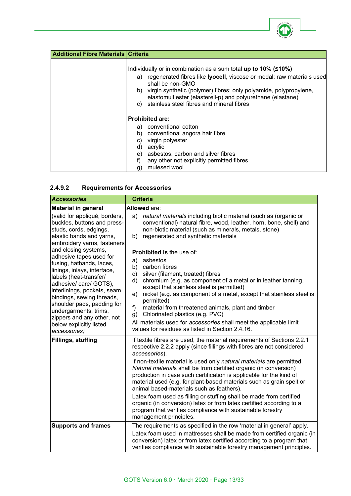

| <b>Additional Fibre Materials Criteria</b> |                                                                                                                                                                                                                                                                                                                                                                              |
|--------------------------------------------|------------------------------------------------------------------------------------------------------------------------------------------------------------------------------------------------------------------------------------------------------------------------------------------------------------------------------------------------------------------------------|
|                                            | Individually or in combination as a sum total up to 10% ( $\leq 10\%$ )<br>regenerated fibres like <b>lyocell</b> , viscose or modal: raw materials used<br>a)<br>shall be non-GMO<br>b) virgin synthetic (polymer) fibres: only polyamide, polypropylene,<br>elastomultiester (elasterell-p) and polyurethane (elastane)<br>stainless steel fibres and mineral fibres<br>C) |
|                                            | <b>Prohibited are:</b>                                                                                                                                                                                                                                                                                                                                                       |
|                                            | conventional cotton<br>a)<br>conventional angora hair fibre<br>b)<br>virgin polyester<br>C)<br>acrylic<br>d)<br>asbestos, carbon and silver fibres<br>e)<br>any other not explicitly permitted fibres<br>mulesed wool<br>g)                                                                                                                                                  |

# **2.4.9.2 Requirements for Accessories**

| <b>Accessories</b>                                                                                                                                                                                                                                                                                                                                                                                    | <b>Criteria</b>                                                                                                                                                                                                                                                                                                                                                                                                                                                                                                                                       |  |
|-------------------------------------------------------------------------------------------------------------------------------------------------------------------------------------------------------------------------------------------------------------------------------------------------------------------------------------------------------------------------------------------------------|-------------------------------------------------------------------------------------------------------------------------------------------------------------------------------------------------------------------------------------------------------------------------------------------------------------------------------------------------------------------------------------------------------------------------------------------------------------------------------------------------------------------------------------------------------|--|
| <b>Material in general</b><br>(valid for appliqué, borders,<br>buckles, buttons and press-<br>studs, cords, edgings,                                                                                                                                                                                                                                                                                  | Allowed are:<br>a) natural materials including biotic material (such as (organic or<br>conventional) natural fibre, wood, leather, horn, bone, shell) and<br>non-biotic material (such as minerals, metals, stone)                                                                                                                                                                                                                                                                                                                                    |  |
| elastic bands and yarns,<br>embroidery yarns, fasteners<br>and closing systems,<br>adhesive tapes used for<br>fusing, hatbands, laces,<br>linings, inlays, interface,<br>labels (heat-transfer/<br>adhesive/ care/ GOTS),<br>interlinings, pockets, seam<br>bindings, sewing threads,<br>shoulder pads, padding for<br>undergarments, trims,<br>zippers and any other, not<br>below explicitly listed | regenerated and synthetic materials<br>b)<br>Prohibited is the use of:<br>a)<br>asbestos<br>b)<br>carbon fibres<br>c)<br>silver (filament, treated) fibres<br>chromium (e.g. as component of a metal or in leather tanning,<br>d)<br>except that stainless steel is permitted)<br>nickel (e.g. as component of a metal, except that stainless steel is<br>e)<br>permitted)<br>material from threatened animals, plant and timber<br>f)<br>Chlorinated plastics (e.g. PVC)<br>g)<br>All materials used for accessories shall meet the applicable limit |  |
| accessories)<br>Fillings, stuffing                                                                                                                                                                                                                                                                                                                                                                    | values for residues as listed in Section 2.4.16.<br>If textile fibres are used, the material requirements of Sections 2.2.1<br>respective 2.2.2 apply (since fillings with fibres are not considered                                                                                                                                                                                                                                                                                                                                                  |  |
|                                                                                                                                                                                                                                                                                                                                                                                                       | accessories).<br>If non-textile material is used only natural materials are permitted.<br>Natural materials shall be from certified organic (in conversion)<br>production in case such certification is applicable for the kind of<br>material used (e.g. for plant-based materials such as grain spelt or<br>animal based-materials such as feathers).                                                                                                                                                                                               |  |
|                                                                                                                                                                                                                                                                                                                                                                                                       | Latex foam used as filling or stuffing shall be made from certified<br>organic (in conversion) latex or from latex certified according to a<br>program that verifies compliance with sustainable forestry<br>management principles.                                                                                                                                                                                                                                                                                                                   |  |
| <b>Supports and frames</b>                                                                                                                                                                                                                                                                                                                                                                            | The requirements as specified in the row 'material in general' apply.<br>Latex foam used in mattresses shall be made from certified organic (in<br>conversion) latex or from latex certified according to a program that<br>verifies compliance with sustainable forestry management principles.                                                                                                                                                                                                                                                      |  |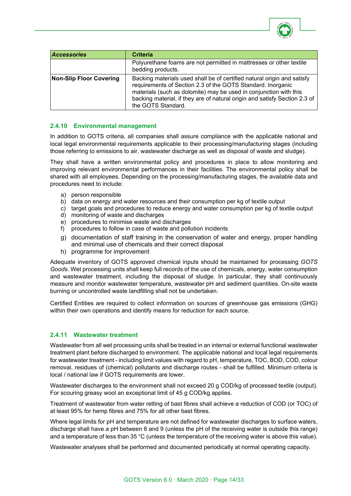

| <b>Accessories</b>             | <b>Criteria</b>                                                                                                                                                                                                                                                                                                 |
|--------------------------------|-----------------------------------------------------------------------------------------------------------------------------------------------------------------------------------------------------------------------------------------------------------------------------------------------------------------|
|                                | Polyurethane foams are not permitted in mattresses or other textile<br>bedding products.                                                                                                                                                                                                                        |
| <b>Non-Slip Floor Covering</b> | Backing materials used shall be of certified natural origin and satisfy<br>requirements of Section 2.3 of the GOTS Standard. Inorganic<br>materials (such as dolomite) may be used in conjunction with this<br>backing material, if they are of natural origin and satisfy Section 2.3 of<br>the GOTS Standard. |

## **2.4.10 Environmental management**

In addition to GOTS criteria, all companies shall assure compliance with the applicable national and local legal environmental requirements applicable to their processing/manufacturing stages (including those referring to emissions to air, wastewater discharge as well as disposal of waste and sludge).

They shall have a written environmental policy and procedures in place to allow monitoring and improving relevant environmental performances in their facilities. The environmental policy shall be shared with all employees. Depending on the processing/manufacturing stages, the available data and procedures need to include:

- a) person responsible
- b) data on energy and water resources and their consumption per kg of textile output
- c) target goals and procedures to reduce energy and water consumption per kg of textile output
- d) monitoring of waste and discharges
- e) procedures to minimise waste and discharges
- f) procedures to follow in case of waste and pollution incidents
- g) documentation of staff training in the conservation of water and energy, proper handling and minimal use of chemicals and their correct disposal
- h) programme for improvement

Adequate inventory of GOTS approved chemical inputs should be maintained for processing *GOTS Goods*. Wet processing units shall keep full records of the use of chemicals, energy, water consumption and wastewater treatment, including the disposal of sludge. In particular, they shall continuously measure and monitor wastewater temperature, wastewater pH and sediment quantities. On-site waste burning or uncontrolled waste landfilling shall not be undertaken.

Certified Entities are required to collect information on sources of greenhouse gas emissions (GHG) within their own operations and identify means for reduction for each source.

#### **2.4.11 Wastewater treatment**

Wastewater from all wet processing units shall be treated in an internal or external functional wastewater treatment plant before discharged to environment. The applicable national and local legal requirements for wastewater treatment - including limit values with regard to pH, temperature, TOC, BOD, COD, colour removal, residues of (chemical) pollutants and discharge routes - shall be fulfilled. Minimum criteria is local / national law if GOTS requirements are lower.

Wastewater discharges to the environment shall not exceed 20 g COD/kg of processed textile (output). For scouring greasy wool an exceptional limit of 45 g COD/kg applies.

Treatment of wastewater from water retting of bast fibres shall achieve a reduction of COD (or TOC) of at least 95% for hemp fibres and 75% for all other bast fibres.

Where legal limits for pH and temperature are not defined for wastewater discharges to surface waters, discharge shall have a pH between 6 and 9 (unless the pH of the receiving water is outside this range) and a temperature of less than 35 °C (unless the temperature of the receiving water is above this value).

Wastewater analyses shall be performed and documented periodically at normal operating capacity.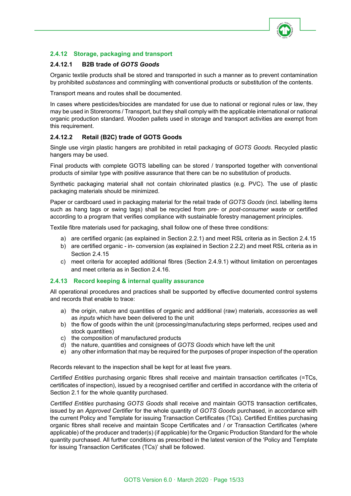

# **2.4.12 Storage, packaging and transport**

## **2.4.12.1 B2B trade of** *GOTS Goods*

Organic textile products shall be stored and transported in such a manner as to prevent contamination by prohibited *substances* and commingling with conventional products or substitution of the contents.

Transport means and routes shall be documented.

In cases where pesticides/biocides are mandated for use due to national or regional rules or law, they may be used in Storerooms / Transport, but they shall comply with the applicable international or national organic production standard. Wooden pallets used in storage and transport activities are exempt from this requirement.

## **2.4.12.2 Retail (B2C) trade of GOTS Goods**

Single use virgin plastic hangers are prohibited in retail packaging of *GOTS Goods*. Recycled plastic hangers may be used.

Final products with complete GOTS labelling can be stored / transported together with conventional products of similar type with positive assurance that there can be no substitution of products.

Synthetic packaging material shall not contain chlorinated plastics (e.g. PVC). The use of plastic packaging materials should be minimized.

Paper or cardboard used in packaging material for the retail trade of *GOTS Goods* (incl. labelling items such as hang tags or swing tags) shall be recycled from *pre-* or *post-consumer waste* or certified according to a program that verifies compliance with sustainable forestry management principles.

Textile fibre materials used for packaging, shall follow one of these three conditions:

- a) are certified organic (as explained in Section 2.2.1) and meet RSL criteria as in Section 2.4.15
- b) are certified organic in- conversion (as explained in Section 2.2.2) and meet RSL criteria as in Section 2.4.15
- c) meet criteria for accepted additional fibres (Section 2.4.9.1) without limitation on percentages and meet criteria as in Section 2.4.16.

#### **2.4.13 Record keeping & internal quality assurance**

All operational procedures and practices shall be supported by effective documented control systems and records that enable to trace:

- a) the origin, nature and quantities of organic and additional (raw) materials, *accessories* as well as *inputs* which have been delivered to the unit
- b) the flow of goods within the unit (processing/manufacturing steps performed, recipes used and stock quantities)
- c) the composition of manufactured products
- d) the nature, quantities and consignees of *GOTS Goods* which have left the unit
- e) any other information that may be required for the purposes of proper inspection of the operation

Records relevant to the inspection shall be kept for at least five years.

*Certified Entities* purchasing organic fibres shall receive and maintain transaction certificates (=TCs, certificates of inspection), issued by a recognised certifier and certified in accordance with the criteria of Section 2.1 for the whole quantity purchased.

*Certified Entities* purchasing *GOTS Goods* shall receive and maintain GOTS transaction certificates, issued by an *Approved Certifier* for the whole quantity of *GOTS Goods* purchased, in accordance with the current Policy and Template for issuing Transaction Certificates (TCs). Certified Entities purchasing organic fibres shall receive and maintain Scope Certificates and / or Transaction Certificates (where applicable) of the producer and trader(s) (if applicable) for the Organic Production Standard for the whole quantity purchased. All further conditions as prescribed in the latest version of the 'Policy and Template for issuing Transaction Certificates (TCs)' shall be followed.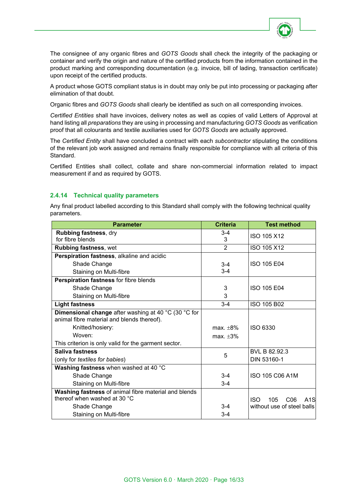

The consignee of any organic fibres and *GOTS Goods* shall check the integrity of the packaging or container and verify the origin and nature of the certified products from the information contained in the product marking and corresponding documentation (e.g. invoice, bill of lading, transaction certificate) upon receipt of the certified products.

A product whose GOTS compliant status is in doubt may only be put into processing or packaging after elimination of that doubt.

Organic fibres and *GOTS Goods* shall clearly be identified as such on all corresponding invoices.

*Certified Entities* shall have invoices, delivery notes as well as copies of valid Letters of Approval at hand listing all *preparations* they are using in processing and manufacturing *GOTS Goods* as verification proof that all colourants and textile auxiliaries used for *GOTS Goods* are actually approved.

The *Certified Entity* shall have concluded a contract with each *subcontractor* stipulating the conditions of the relevant job work assigned and remains finally responsible for compliance with all criteria of this Standard.

Certified Entities shall collect, collate and share non-commercial information related to impact measurement if and as required by GOTS.

## **2.4.14 Technical quality parameters**

Any final product labelled according to this Standard shall comply with the following technical quality parameters.

| <b>Parameter</b>                                                                                   | <b>Criteria</b> | <b>Test method</b>                                       |
|----------------------------------------------------------------------------------------------------|-----------------|----------------------------------------------------------|
| Rubbing fastness, dry<br>for fibre blends                                                          | $3-4$<br>3      | ISO 105 X12                                              |
| <b>Rubbing fastness, wet</b>                                                                       | $\overline{2}$  | ISO 105 X12                                              |
| Perspiration fastness, alkaline and acidic                                                         |                 |                                                          |
| Shade Change                                                                                       | $3 - 4$         | <b>ISO 105 E04</b>                                       |
| Staining on Multi-fibre                                                                            | $3 - 4$         |                                                          |
| Perspiration fastness for fibre blends                                                             |                 |                                                          |
| Shade Change                                                                                       | 3               | <b>ISO 105 E04</b>                                       |
| Staining on Multi-fibre                                                                            | 3               |                                                          |
| <b>Light fastness</b>                                                                              | $3-4$           | ISO 105 B02                                              |
| Dimensional change after washing at 40 °C (30 °C for<br>animal fibre material and blends thereof). |                 |                                                          |
| Knitted/hosiery:                                                                                   | $max.+8%$       | ISO 6330                                                 |
| Woven:                                                                                             | max. $\pm 3\%$  |                                                          |
| This criterion is only valid for the garment sector.                                               |                 |                                                          |
| Saliva fastness                                                                                    | 5               | BVL B 82.92.3                                            |
| (only for textiles for babies)                                                                     |                 | DIN 53160-1                                              |
| Washing fastness when washed at 40 °C                                                              |                 |                                                          |
| Shade Change                                                                                       | $3-4$           | ISO 105 C06 A1M                                          |
| Staining on Multi-fibre                                                                            | $3-4$           |                                                          |
| Washing fastness of animal fibre material and blends<br>thereof when washed at 30 °C               |                 | <b>ISO</b><br>105<br>C <sub>06</sub><br>A <sub>1</sub> S |
| Shade Change                                                                                       | $3 - 4$         | without use of steel balls                               |
| Staining on Multi-fibre                                                                            | $3-4$           |                                                          |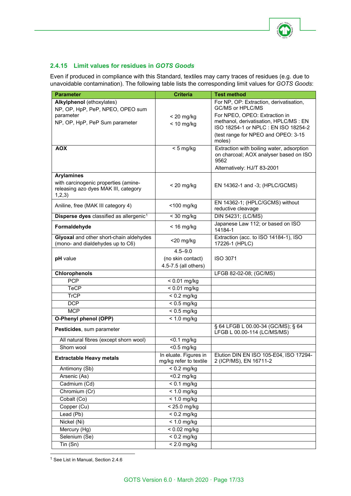

## **2.4.15 Limit values for residues in** *GOTS Goods*

Even if produced in compliance with this Standard, textiles may carry traces of residues (e.g. due to unavoidable contamination). The following table lists the corresponding limit values for *GOTS Goods*:

| <b>Parameter</b>                                                             | <b>Criteria</b>                                 | <b>Test method</b>                                                             |
|------------------------------------------------------------------------------|-------------------------------------------------|--------------------------------------------------------------------------------|
| Alkylphenol (ethoxylates)                                                    |                                                 | For NP, OP: Extraction, derivatisation,                                        |
| NP, OP, HpP, PeP, NPEO, OPEO sum                                             |                                                 | GC/MS or HPLC/MS                                                               |
| parameter                                                                    | $<$ 20 mg/kg                                    | For NPEO, OPEO: Extraction in                                                  |
| NP, OP, HpP, PeP Sum parameter                                               | $< 10$ mg/kg                                    | methanol, derivatisation, HPLC/MS : EN<br>ISO 18254-1 or NPLC : EN ISO 18254-2 |
|                                                                              |                                                 | (test range for NPEO and OPEO: 3-15                                            |
|                                                                              |                                                 | moles)                                                                         |
| <b>AOX</b>                                                                   | $< 5$ mg/kg                                     | Extraction with boiling water, adsorption                                      |
|                                                                              |                                                 | on charcoal; AOX analyser based on ISO                                         |
|                                                                              |                                                 | 9562                                                                           |
|                                                                              |                                                 | Alternatively: HJ/T 83-2001                                                    |
| <b>Arylamines</b>                                                            |                                                 |                                                                                |
| with carcinogenic properties (amine-<br>releasing azo dyes MAK III, category | $< 20$ mg/kg                                    | EN 14362-1 and -3; (HPLC/GCMS)                                                 |
| 1,2,3)                                                                       |                                                 |                                                                                |
|                                                                              | $<$ 100 mg/kg                                   | EN 14362-1; (HPLC/GCMS) without                                                |
| Aniline, free (MAK III category 4)                                           |                                                 | reductive cleavage                                                             |
| Disperse dyes classified as allergenic <sup>1</sup>                          | $<$ 30 mg/kg                                    | DIN 54231; (LC/MS)                                                             |
| Formaldehyde                                                                 | $< 16$ mg/kg                                    | Japanese Law 112; or based on ISO                                              |
|                                                                              |                                                 | 14184-1<br>Extraction (acc. to ISO 14184-1), ISO                               |
| Glyoxal and other short-chain aldehydes<br>(mono- and dialdehydes up to C6)  | $<$ 20 mg/kg                                    | 17226-1 (HPLC)                                                                 |
|                                                                              | $4.5 - 9.0$                                     |                                                                                |
| pH value                                                                     | (no skin contact)                               | <b>ISO 3071</b>                                                                |
|                                                                              | 4.5-7.5 (all others)                            |                                                                                |
| Chlorophenols                                                                |                                                 | LFGB 82-02-08; (GC/MS)                                                         |
| <b>PCP</b>                                                                   | $< 0.01$ mg/kg                                  |                                                                                |
| <b>TeCP</b>                                                                  | $\sqrt{6}$ 0.01 mg/kg                           |                                                                                |
| <b>TrCP</b>                                                                  | $< 0.2$ mg/kg                                   |                                                                                |
| <b>DCP</b>                                                                   | $< 0.5$ mg/kg                                   |                                                                                |
| <b>MCP</b>                                                                   | $< 0.5$ mg/kg                                   |                                                                                |
| O-Phenyl phenol (OPP)                                                        | $\sqrt{2}$ 1.0 mg/kg                            |                                                                                |
| Pesticides, sum parameter                                                    |                                                 | § 64 LFGB L 00.00-34 (GC/MS); § 64                                             |
|                                                                              |                                                 | LFGB L 00.00-114 (LC/MS/MS)                                                    |
| All natural fibres (except shorn wool)                                       | $< 0.1$ mg/kg                                   |                                                                                |
| Shorn wool                                                                   | $<$ 0.5 mg/kg                                   |                                                                                |
| <b>Extractable Heavy metals</b>                                              | In eluate. Figures in<br>mg/kg refer to textile | Elution DIN EN ISO 105-E04, ISO 17294-<br>2 (ICP/MS), EN 16711-2               |
| Antimony (Sb)                                                                | $< 0.2$ mg/kg                                   |                                                                                |
| Arsenic (As)                                                                 | $\overline{50.2}$ mg/kg                         |                                                                                |
| Cadmium (Cd)                                                                 | $\frac{1}{2}$ 0.1 mg/kg                         |                                                                                |
| Chromium (Cr)                                                                | $< 1.0$ mg/kg                                   |                                                                                |
| Cobalt (Co)                                                                  | $< 1.0$ mg/kg                                   |                                                                                |
| Copper (Cu)                                                                  | < 25.0 mg/kg                                    |                                                                                |
| Lead (Pb)                                                                    | $< 0.2$ mg/kg                                   |                                                                                |
| Nickel (Ni)                                                                  | $< 1.0$ mg/kg                                   |                                                                                |
| Mercury (Hg)                                                                 | $< 0.02$ mg/kg                                  |                                                                                |
| Selenium (Se)                                                                | $\sqrt{6.2}$ mg/kg                              |                                                                                |
| $T$ in (Sn)                                                                  | $< 2.0$ mg/kg                                   |                                                                                |
|                                                                              |                                                 |                                                                                |

<span id="page-16-0"></span><sup>1</sup> See List in Manual, Section 2.4.6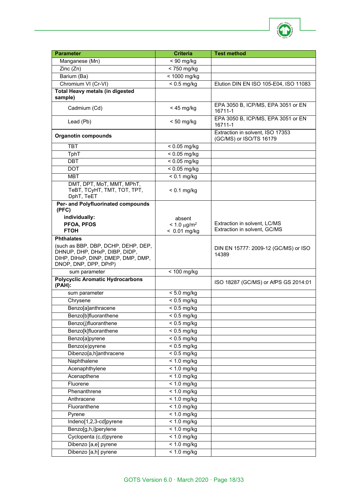

| <b>Parameter</b>                                                     | <b>Criteria</b>           | <b>Test method</b>                                           |
|----------------------------------------------------------------------|---------------------------|--------------------------------------------------------------|
| Manganese (Mn)                                                       | $< 90$ mg/kg              |                                                              |
| Zinc(Zn)                                                             | $\sqrt{50}$ mg/kg         |                                                              |
| Barium (Ba)                                                          | < 1000 mg/kg              |                                                              |
| Chromium VI (Cr-VI)                                                  | $\sqrt{6.5}$ mg/kg        | Elution DIN EN ISO 105-E04, ISO 11083                        |
| <b>Total Heavy metals (in digested</b>                               |                           |                                                              |
| sample)                                                              |                           |                                                              |
| Cadmium (Cd)                                                         | $<$ 45 mg/kg              | EPA 3050 B, ICP/MS, EPA 3051 or EN<br>16711-1                |
| Lead (Pb)                                                            | $< 50$ mg/kg              | EPA 3050 B, ICP/MS, EPA 3051 or EN<br>16711-1                |
| <b>Organotin compounds</b>                                           |                           | Extraction in solvent, ISO 17353<br>(GC/MS) or ISO/TS 16179  |
| <b>TBT</b>                                                           | $< 0.05$ mg/kg            |                                                              |
| TphT                                                                 | $< 0.05$ mg/kg            |                                                              |
| <b>DBT</b>                                                           | $< 0.05$ mg/kg            |                                                              |
| <b>DOT</b>                                                           | $\overline{0.05}$ mg/kg   |                                                              |
| <b>MBT</b>                                                           | $< 0.1$ mg/kg             |                                                              |
| DMT, DPT, MoT, MMT, MPhT,                                            |                           |                                                              |
| ТеВТ, ТСуНТ, ТМТ, ТОТ, ТРТ,<br>DphT, TeET                            | $< 0.1$ mg/kg             |                                                              |
| Per- and Polyfluorinated compounds                                   |                           |                                                              |
| (PFC)                                                                |                           |                                                              |
| individually:                                                        | absent                    |                                                              |
| PFOA, PFOS<br><b>FTOH</b>                                            | $< 1.0 \mu g/m^2$         | Extraction in solvent, LC/MS<br>Extraction in solvent, GC/MS |
|                                                                      | $< 0.01$ mg/kg            |                                                              |
| <b>Phthalates</b>                                                    |                           |                                                              |
| (such as BBP, DBP, DCHP, DEHP, DEP,<br>DHNUP, DHP, DHxP, DIBP, DIDP, |                           | DIN EN 15777: 2009-12 (GC/MS) or ISO                         |
| DIHP, DIHxP, DINP, DMEP, DMP, DMP,                                   |                           | 14389                                                        |
| DNOP, DNP, DPP, DPrP)                                                |                           |                                                              |
| sum parameter                                                        | $< 100$ mg/kg             |                                                              |
| <b>Polycyclic Aromatic Hydrocarbons</b><br>(PAH):                    |                           | ISO 18287 (GC/MS) or AfPS GS 2014:01                         |
| sum parameter                                                        | $< 5.0$ mg/kg             |                                                              |
| Chrysene                                                             | $\overline{0.5}$ mg/kg    |                                                              |
| Benzo[a]anthracene                                                   | $< 0.5$ mg/kg             |                                                              |
| Benzo[b]fluoranthene                                                 | $< 0.5$ mg/kg             |                                                              |
| Benzo(j)fluoranthene                                                 | $\frac{1}{2}$ < 0.5 mg/kg |                                                              |
| Benzo[k]fluoranthene                                                 | $< 0.5$ mg/kg             |                                                              |
| Benzo[a]pyrene                                                       | $< 0.5$ mg/kg             |                                                              |
| Benzo(e)pyrene                                                       | $< 0.5$ mg/kg             |                                                              |
| Dibenzo[a,h]anthracene                                               | $\sqrt{6.5}$ mg/kg        |                                                              |
| Naphthalene                                                          | $< 1.0$ mg/kg             |                                                              |
| Acenaphthylene                                                       | $< 1.0$ mg/kg             |                                                              |
| Acenapthene                                                          | $< 1.0$ mg/kg             |                                                              |
| Fluorene                                                             | $< 1.0$ mg/kg             |                                                              |
| Phenanthrene                                                         | $< 1.0$ mg/kg             |                                                              |
| Anthracene                                                           | $< 1.0$ mg/kg             |                                                              |
| Fluoranthene                                                         | $\overline{$ 1.0 mg/kg    |                                                              |
| Pyrene                                                               | $< 1.0$ mg/kg             |                                                              |
| Indeno[1,2,3-cd]pyrene                                               | $< 1.0$ mg/kg             |                                                              |
| Benzo[g,h,i]perylene                                                 | $< 1.0$ mg/kg             |                                                              |
| Cyclopenta (c,d)pyrene                                               | $< 1.0$ mg/kg             |                                                              |
| Dibenzo [a,e] pyrene                                                 | $< 1.0$ mg/kg             |                                                              |
| Dibenzo [a,h] pyrene                                                 | $< 1.0$ mg/kg             |                                                              |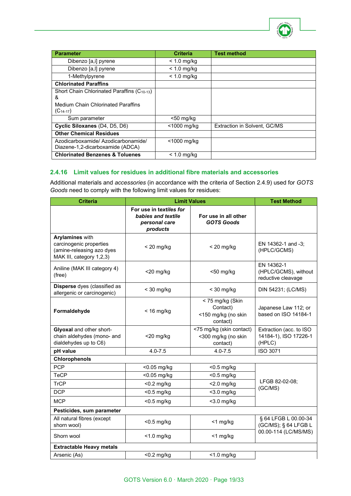

| <b>Parameter</b>                                                                                                           | <b>Criteria</b> | <b>Test method</b>           |
|----------------------------------------------------------------------------------------------------------------------------|-----------------|------------------------------|
| Dibenzo [a,i] pyrene                                                                                                       | $< 1.0$ mg/kg   |                              |
| Dibenzo [a,l] pyrene                                                                                                       | $< 1.0$ mg/kg   |                              |
| 1-Methylpyrene                                                                                                             | $< 1.0$ mg/kg   |                              |
| <b>Chlorinated Paraffins</b>                                                                                               |                 |                              |
| Short Chain Chlorinated Paraffins (C <sub>10-13</sub> )<br>&<br><b>Medium Chain Chlorinated Paraffins</b><br>$(C_{14-17})$ |                 |                              |
| Sum parameter                                                                                                              | $<$ 50 mg/kg    |                              |
| Cyclic Siloxanes (D4, D5, D6)                                                                                              | <1000 mg/kg     | Extraction in Solvent, GC/MS |
| <b>Other Chemical Residues</b>                                                                                             |                 |                              |
| Azodicarboxamide/ Azodicarbonamide/<br>Diazene-1,2-dicarboxamide (ADCA)                                                    | $<$ 1000 mg/kg  |                              |
| <b>Chlorinated Benzenes &amp; Toluenes</b>                                                                                 | $< 1.0$ mg/kg   |                              |

## **2.4.16 Limit values for residues in additional fibre materials and accessories**

Additional materials and *accessories* (in accordance with the criteria of Section 2.4.9) used for *GOTS Goods* need to comply with the following limit values for residues:

| <b>Criteria</b>                                                                                            | <b>Limit Values</b>                                                        |                                                                 | <b>Test Method</b>                                         |
|------------------------------------------------------------------------------------------------------------|----------------------------------------------------------------------------|-----------------------------------------------------------------|------------------------------------------------------------|
|                                                                                                            | For use in textiles for<br>babies and textile<br>personal care<br>products | For use in all other<br><b>GOTS Goods</b>                       |                                                            |
| <b>Arylamines with</b><br>carcinogenic properties<br>(amine-releasing azo dyes<br>MAK III, category 1,2,3) | $<$ 20 mg/kg                                                               | $<$ 20 mg/kg                                                    | EN 14362-1 and -3;<br>(HPLC/GCMS)                          |
| Aniline (MAK III category 4)<br>(free)                                                                     | $<$ 20 mg/kg                                                               | $<$ 50 mg/kg                                                    | EN 14362-1<br>(HPLC/GCMS), without<br>reductive cleavage   |
| Disperse dyes (classified as<br>allergenic or carcinogenic)                                                | $<$ 30 mg/kg                                                               | $<$ 30 mg/kg                                                    | DIN 54231; (LC/MS)                                         |
| Formaldehyde                                                                                               | $< 16$ mg/kg                                                               | < 75 mg/kg (Skin<br>Contact)<br><150 mg/kg (no skin<br>contact) | Japanese Law 112; or<br>based on ISO 14184-1               |
| Glyoxal and other short-<br>chain aldehydes (mono- and<br>dialdehydes up to C6)                            | <20 mg/kg                                                                  | <75 mg/kg (skin contact)<br><300 mg/kg (no skin<br>contact)     | Extraction (acc. to ISO<br>14184-1), ISO 17226-1<br>(HPLC) |
| pH value                                                                                                   | $4.0 - 7.5$                                                                | $4.0 - 7.5$                                                     | <b>ISO 3071</b>                                            |
| Chlorophenols                                                                                              |                                                                            |                                                                 |                                                            |
| <b>PCP</b>                                                                                                 | <0.05 mg/kg                                                                | $<$ 0.5 mg/kg                                                   |                                                            |
| <b>TeCP</b>                                                                                                | <0.05 mg/kg                                                                | <0.5 mg/kg                                                      |                                                            |
| <b>TrCP</b>                                                                                                | $< 0.2$ mg/kg                                                              | $<$ 2.0 mg/kg                                                   | LFGB 82-02-08;<br>(GC/MS)                                  |
| <b>DCP</b>                                                                                                 | $<$ 0.5 mg/kg                                                              | $<$ 3.0 mg/kg                                                   |                                                            |
| <b>MCP</b>                                                                                                 | $<$ 0.5 mg/kg                                                              | $<$ 3.0 mg/kg                                                   |                                                            |
| Pesticides, sum parameter                                                                                  |                                                                            |                                                                 |                                                            |
| All natural fibres (except<br>shorn wool)                                                                  | $<$ 0.5 mg/kg                                                              | <1 mg/kg                                                        | § 64 LFGB L 00.00-34<br>(GC/MS); § 64 LFGB L               |
| Shorn wool                                                                                                 | $<$ 1.0 mg/kg                                                              | <1 mg/kg                                                        | 00.00-114 (LC/MS/MS)                                       |
| <b>Extractable Heavy metals</b>                                                                            |                                                                            |                                                                 |                                                            |
| Arsenic (As)                                                                                               | $<$ 0.2 mg/kg                                                              | $<$ 1.0 mg/kg                                                   |                                                            |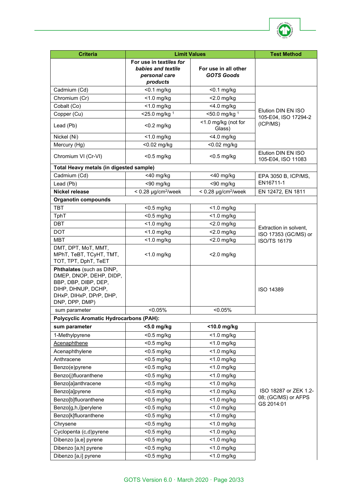

| <b>Criteria</b>                                                                                                                                 | <b>Limit Values</b>                                                        |                                           | <b>Test Method</b>                             |
|-------------------------------------------------------------------------------------------------------------------------------------------------|----------------------------------------------------------------------------|-------------------------------------------|------------------------------------------------|
|                                                                                                                                                 | For use in textiles for<br>babies and textile<br>personal care<br>products | For use in all other<br><b>GOTS Goods</b> |                                                |
| Cadmium (Cd)                                                                                                                                    | $<$ 0.1 mg/kg                                                              | $<$ 0.1 mg/kg                             |                                                |
| Chromium (Cr)                                                                                                                                   | $<$ 1.0 mg/kg                                                              | $<$ 2.0 mg/kg                             |                                                |
| Cobalt (Co)                                                                                                                                     | $<$ 1.0 mg/kg                                                              | <4.0 mg/kg                                |                                                |
| Copper (Cu)                                                                                                                                     | $<$ 25.0 mg/kg <sup>1</sup>                                                | $<$ 50.0 mg/kg $1$                        | Elution DIN EN ISO<br>105-E04, ISO 17294-2     |
| Lead (Pb)                                                                                                                                       | $<$ 0.2 mg/kg                                                              | <1.0 mg/kg (not for<br>Glass)             | (ICP/MS)                                       |
| Nickel (Ni)                                                                                                                                     | $<$ 1.0 mg/kg                                                              | $<$ 4.0 mg/kg                             |                                                |
| Mercury (Hg)                                                                                                                                    | <0.02 mg/kg                                                                | <0.02 mg/kg                               |                                                |
| Chromium VI (Cr-VI)                                                                                                                             | $<$ 0.5 mg/kg                                                              | $<$ 0.5 mg/kg                             | Elution DIN EN ISO<br>105-E04, ISO 11083       |
| Total Heavy metals (in digested sample)                                                                                                         |                                                                            |                                           |                                                |
| Cadmium (Cd)                                                                                                                                    | $<$ 40 mg/kg                                                               | $<$ 40 mg/kg                              | EPA 3050 B, ICP/MS,                            |
| Lead (Pb)                                                                                                                                       | <90 mg/kg                                                                  | <90 mg/kg                                 | EN16711-1                                      |
| <b>Nickel release</b>                                                                                                                           | $< 0.28 \mu g/cm^2/$ week                                                  | $< 0.28 \mu g/cm^2$ /week                 | EN 12472, EN 1811                              |
| <b>Organotin compounds</b>                                                                                                                      |                                                                            |                                           |                                                |
| <b>TBT</b>                                                                                                                                      | $<$ 0.5 mg/kg                                                              | $<$ 1.0 mg/kg                             |                                                |
| TphT                                                                                                                                            | <0.5 mg/kg                                                                 | $<$ 1.0 mg/kg                             |                                                |
| <b>DBT</b>                                                                                                                                      | $<$ 1.0 mg/kg                                                              | <2.0 mg/kg                                |                                                |
| <b>DOT</b>                                                                                                                                      | $<$ 1.0 mg/kg                                                              | $<$ 2.0 mg/kg                             | Extraction in solvent,<br>ISO 17353 (GC/MS) or |
| <b>MBT</b>                                                                                                                                      | $<$ 1.0 mg/kg                                                              | $<$ 2.0 mg/kg                             | <b>ISO/TS 16179</b>                            |
| DMT, DPT, MoT, MMT,<br>MPhT, TeBT, TCyHT, TMT,<br>TOT, TPT, DphT, TeET                                                                          | <1.0 mg/kg                                                                 | $<$ 2.0 mg/kg                             |                                                |
| Phthalates (such as DINP,<br>DMEP, DNOP, DEHP, DIDP,<br>BBP, DBP, DIBP, DEP,<br>DIHP, DHNUP, DCHP,<br>DHxP, DIHxP, DPrP, DHP,<br>DNP, DPP, DMP) |                                                                            |                                           | ISO 14389                                      |
| sum parameter                                                                                                                                   | $< 0.05\%$                                                                 | < 0.05%                                   |                                                |
| <b>Polycyclic Aromatic Hydrocarbons (PAH):</b>                                                                                                  |                                                                            |                                           |                                                |
| sum parameter                                                                                                                                   | <5.0 mg/kg                                                                 | <10.0 mg/kg                               |                                                |
| 1-Methylpyrene                                                                                                                                  | $<$ 0.5 mg/kg                                                              | $<$ 1.0 mg/kg                             |                                                |
| <b>Acenaphthene</b>                                                                                                                             | <0.5 mg/kg                                                                 | $<$ 1.0 mg/kg                             |                                                |
| Acenaphthylene                                                                                                                                  | $<$ 0.5 mg/kg                                                              | $<$ 1.0 mg/kg                             |                                                |
| Anthracene                                                                                                                                      | $<$ 0.5 mg/kg<br>$<$ 0.5 mg/kg                                             | $<$ 1.0 mg/kg                             |                                                |
| Benzo(e)pyrene                                                                                                                                  |                                                                            | $<$ 1.0 mg/kg<br>$<$ 1.0 mg/kg            |                                                |
| Benzo(j)fluoranthene<br>Benzo[a]anthracene                                                                                                      | $<$ 0.5 mg/kg                                                              |                                           |                                                |
|                                                                                                                                                 | $<$ 0.5 mg/kg                                                              | $<$ 1.0 mg/kg<br>$<$ 1.0 mg/kg            | ISO 18287 or ZEK 1.2-                          |
| Benzo[a]pyrene                                                                                                                                  | $<$ 0.5 mg/kg                                                              | $<$ 1.0 mg/kg                             | 08; (GC/MS) or AFPS                            |
| Benzo[b]fluoranthene<br>Benzo[g,h,i]perylene                                                                                                    | $<$ 0.5 mg/kg<br>$<$ 0.5 mg/kg                                             | $<$ 1.0 mg/kg                             | GS 2014:01                                     |
| Benzo[k]fluoranthene                                                                                                                            | $<$ 0.5 mg/kg                                                              | $<$ 1.0 mg/kg                             |                                                |
| Chrysene                                                                                                                                        | $<$ 0.5 mg/kg                                                              | $<$ 1.0 mg/kg                             |                                                |
|                                                                                                                                                 | <0.5 mg/kg                                                                 | $<$ 1.0 mg/kg                             |                                                |
| Cyclopenta (c,d)pyrene<br>Dibenzo [a,e] pyrene                                                                                                  | $<$ 0.5 mg/kg                                                              | $<$ 1.0 mg/kg                             |                                                |
| Dibenzo [a,h] pyrene                                                                                                                            | <0.5 mg/kg                                                                 | $<$ 1.0 mg/kg                             |                                                |
| Dibenzo [a,i] pyrene                                                                                                                            | <0.5 mg/kg                                                                 | $<$ 1.0 mg/kg                             |                                                |
|                                                                                                                                                 |                                                                            |                                           |                                                |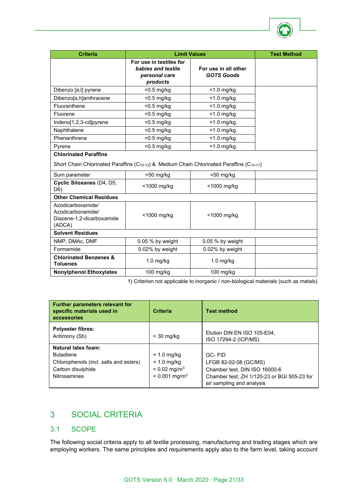

| <b>Criteria</b>                                                                                                                                    | <b>Limit Values</b>                                                        | <b>Test Method</b>                        |  |  |
|----------------------------------------------------------------------------------------------------------------------------------------------------|----------------------------------------------------------------------------|-------------------------------------------|--|--|
|                                                                                                                                                    | For use in textiles for<br>babies and textile<br>personal care<br>products | For use in all other<br><b>GOTS Goods</b> |  |  |
| Dibenzo [a,l] pyrene                                                                                                                               | $<$ 0.5 mg/kg                                                              | $<$ 1.0 mg/kg                             |  |  |
| Dibenzo[a,h]anthracene                                                                                                                             | <0.5 mg/kg                                                                 | $<$ 1.0 mg/kg                             |  |  |
| Fluoranthene                                                                                                                                       | $<$ 0.5 mg/kg                                                              | $<$ 1.0 mg/kg                             |  |  |
| Fluorene                                                                                                                                           | $<$ 0.5 mg/kg                                                              | $<$ 1.0 mg/kg                             |  |  |
| Indeno[1,2,3-cd]pyrene                                                                                                                             | $<$ 0.5 mg/kg                                                              | $<$ 1.0 mg/kg                             |  |  |
| Naphthalene                                                                                                                                        | $<$ 0.5 mg/kg                                                              | $<$ 1.0 mg/kg                             |  |  |
| Phenanthrene                                                                                                                                       | $<$ 0.5 mg/kg                                                              | $<$ 1.0 mg/kg                             |  |  |
| Pyrene                                                                                                                                             | $<$ 0.5 mg/kg                                                              | $<$ 1.0 mg/kg                             |  |  |
| <b>Chlorinated Paraffins</b><br>Short Chain Chlorinated Paraffins (C <sub>10-13</sub> ) & Medium Chain Chlorinated Paraffins (C <sub>14-17</sub> ) |                                                                            |                                           |  |  |
| Sum parameter                                                                                                                                      | $<$ 50 mg/kg                                                               | $<$ 50 mg/kg                              |  |  |
| Cyclic Siloxanes (D4, D5,<br>D6)                                                                                                                   | <1000 mg/kg                                                                | <1000 mg/kg                               |  |  |
| <b>Other Chemical Residues</b>                                                                                                                     |                                                                            |                                           |  |  |
| Azodicarboxamide/<br>Azodicarbonamide/<br>Diazene-1,2-dicarboxamide<br>(ADCA)                                                                      | <1000 mg/kg                                                                | <1000 mg/kg                               |  |  |
| <b>Solvent Residues</b>                                                                                                                            |                                                                            |                                           |  |  |
| NMP, DMAc, DMF                                                                                                                                     | 0.05 % by weight                                                           | 0.05 % by weight                          |  |  |
| Formamide                                                                                                                                          | 0.02% by weight                                                            | 0.02% by weight                           |  |  |
| <b>Chlorinated Benzenes &amp;</b><br><b>Toluenes</b>                                                                                               | $1.0$ mg/kg                                                                | $1.0$ mg/kg                               |  |  |
| <b>Nonylphenol Ethoxylates</b>                                                                                                                     | 100 mg/kg                                                                  | 100 mg/kg                                 |  |  |

1) Criterion not applicable to inorganic / non-biological materials (such as metals)

| <b>Further parameters relevant for</b><br>specific materials used in<br>accessories | <b>Criteria</b>             | <b>Test method</b>                                                       |
|-------------------------------------------------------------------------------------|-----------------------------|--------------------------------------------------------------------------|
| <b>Polyester fibres:</b><br>Antimony (Sb)                                           | $<$ 30 mg/kg                | Elution DIN EN ISO 105-E04,<br>ISO 17294-2 (ICP/MS)                      |
| <b>Natural latex foam:</b>                                                          |                             |                                                                          |
| <b>Butadiene</b>                                                                    | $< 1.0$ mg/kg               | $GC - FID$                                                               |
| Chlorophenols (incl. salts and esters)                                              | $< 1.0$ mg/kg               | LFGB 82-02-08 (GC/MS)                                                    |
| Carbon disulphide                                                                   | $< 0.02$ mg/m <sup>3</sup>  | Chamber test, DIN ISO 16000-6                                            |
| <b>Nitrosamines</b>                                                                 | $< 0.001$ mg/m <sup>3</sup> | Chamber test; ZH 1/120-23 or BGI 505-23 for<br>air sampling and analysis |

# <span id="page-20-0"></span>3 SOCIAL CRITERIA

## <span id="page-20-1"></span>3.1 SCOPE

The following social criteria apply to all textile processing, manufacturing and trading stages which are employing workers. The same principles and requirements apply also to the farm level, taking account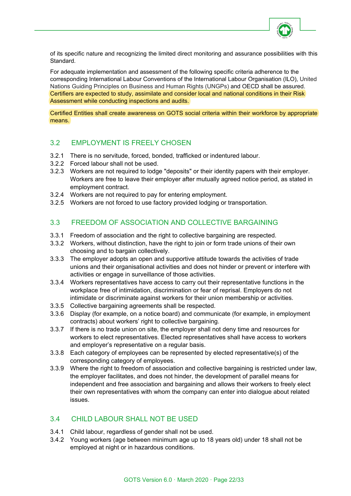

of its specific nature and recognizing the limited direct monitoring and assurance possibilities with this Standard.

For adequate implementation and assessment of the following specific criteria adherence to the corresponding International Labour Conventions of the International Labour Organisation (ILO), United Nations Guiding Principles on Business and Human Rights (UNGPs) and OECD shall be assured. Certifiers are expected to study, assimilate and consider local and national conditions in their Risk Assessment while conducting inspections and audits.

Certified Entities shall create awareness on GOTS social criteria within their workforce by appropriate means.

# <span id="page-21-0"></span>3.2 EMPLOYMENT IS FREELY CHOSEN

- 3.2.1 There is no servitude, forced, bonded, trafficked or indentured labour.
- 3.2.2 Forced labour shall not be used.
- 3.2.3 Workers are not required to lodge "deposits" or their identity papers with their employer. Workers are free to leave their employer after mutually agreed notice period, as stated in employment contract.
- 3.2.4 Workers are not required to pay for entering employment.
- 3.2.5 Workers are not forced to use factory provided lodging or transportation.

# <span id="page-21-1"></span>3.3 FREEDOM OF ASSOCIATION AND COLLECTIVE BARGAINING

- 3.3.1 Freedom of association and the right to collective bargaining are respected.
- 3.3.2 Workers, without distinction, have the right to join or form trade unions of their own choosing and to bargain collectively.
- 3.3.3 The employer adopts an open and supportive attitude towards the activities of trade unions and their organisational activities and does not hinder or prevent or interfere with activities or engage in surveillance of those activities.
- 3.3.4 Workers representatives have access to carry out their representative functions in the workplace free of intimidation, discrimination or fear of reprisal. Employers do not intimidate or discriminate against workers for their union membership or activities.
- 3.3.5 Collective bargaining agreements shall be respected.
- 3.3.6 Display (for example, on a notice board) and communicate (for example, in employment contracts) about workers' right to collective bargaining.
- 3.3.7 If there is no trade union on site, the employer shall not deny time and resources for workers to elect representatives. Elected representatives shall have access to workers and employer's representative on a regular basis.
- 3.3.8 Each category of employees can be represented by elected representative(s) of the corresponding category of employees.
- 3.3.9 Where the right to freedom of association and collective bargaining is restricted under law, the employer facilitates, and does not hinder, the development of parallel means for independent and free association and bargaining and allows their workers to freely elect their own representatives with whom the company can enter into dialogue about related issues.

# <span id="page-21-2"></span>3.4 CHILD LABOUR SHALL NOT BE USED

- 3.4.1 Child labour, regardless of gender shall not be used.
- 3.4.2 Young workers (age between minimum age up to 18 years old) under 18 shall not be employed at night or in hazardous conditions.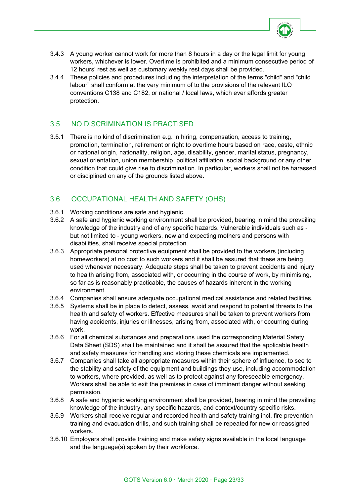

- 3.4.3 A young worker cannot work for more than 8 hours in a day or the legal limit for young workers, whichever is lower. Overtime is prohibited and a minimum consecutive period of 12 hours' rest as well as customary weekly rest days shall be provided.
- 3.4.4 These policies and procedures including the interpretation of the terms "child" and "child labour" shall conform at the very minimum of to the provisions of the relevant ILO conventions C138 and C182, or national / local laws, which ever affords greater protection.

# <span id="page-22-0"></span>3.5 NO DISCRIMINATION IS PRACTISED

3.5.1 There is no kind of discrimination e.g. in hiring, compensation, access to training, promotion, termination, retirement or right to overtime hours based on race, caste, ethnic or national origin, nationality, religion, age, disability, gender, marital status, pregnancy, sexual orientation, union membership, political affiliation, social background or any other condition that could give rise to discrimination. In particular, workers shall not be harassed or disciplined on any of the grounds listed above.

# <span id="page-22-1"></span>3.6 OCCUPATIONAL HEALTH AND SAFETY (OHS)

- 3.6.1 Working conditions are safe and hygienic.
- 3.6.2 A safe and hygienic working environment shall be provided, bearing in mind the prevailing knowledge of the industry and of any specific hazards. Vulnerable individuals such as but not limited to - young workers, new and expecting mothers and persons with disabilities, shall receive special protection.
- 3.6.3 Appropriate personal protective equipment shall be provided to the workers (including homeworkers) at no cost to such workers and it shall be assured that these are being used whenever necessary. Adequate steps shall be taken to prevent accidents and injury to health arising from, associated with, or occurring in the course of work, by minimising, so far as is reasonably practicable, the causes of hazards inherent in the working environment.
- 3.6.4 Companies shall ensure adequate occupational medical assistance and related facilities.
- 3.6.5 Systems shall be in place to detect, assess, avoid and respond to potential threats to the health and safety of workers. Effective measures shall be taken to prevent workers from having accidents, injuries or illnesses, arising from, associated with, or occurring during work.
- 3.6.6 For all chemical substances and preparations used the corresponding Material Safety Data Sheet (SDS) shall be maintained and it shall be assured that the applicable health and safety measures for handling and storing these chemicals are implemented.
- 3.6.7 Companies shall take all appropriate measures within their sphere of influence, to see to the stability and safety of the equipment and buildings they use, including accommodation to workers, where provided, as well as to protect against any foreseeable emergency. Workers shall be able to exit the premises in case of imminent danger without seeking permission.
- 3.6.8 A safe and hygienic working environment shall be provided, bearing in mind the prevailing knowledge of the industry, any specific hazards, and context/country specific risks.
- 3.6.9 Workers shall receive regular and recorded health and safety training incl. fire prevention training and evacuation drills, and such training shall be repeated for new or reassigned workers.
- 3.6.10 Employers shall provide training and make safety signs available in the local language and the language(s) spoken by their workforce.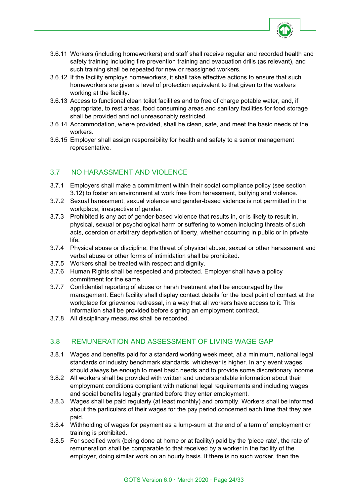

- 3.6.11 Workers (including homeworkers) and staff shall receive regular and recorded health and safety training including fire prevention training and evacuation drills (as relevant), and such training shall be repeated for new or reassigned workers.
- 3.6.12 If the facility employs homeworkers, it shall take effective actions to ensure that such homeworkers are given a level of protection equivalent to that given to the workers working at the facility.
- 3.6.13 Access to functional clean toilet facilities and to free of charge potable water, and, if appropriate, to rest areas, food consuming areas and sanitary facilities for food storage shall be provided and not unreasonably restricted.
- 3.6.14 Accommodation, where provided, shall be clean, safe, and meet the basic needs of the workers.
- 3.6.15 Employer shall assign responsibility for health and safety to a senior management representative.

# <span id="page-23-0"></span>3.7 NO HARASSMENT AND VIOLENCE

- 3.7.1 Employers shall make a commitment within their social compliance policy (see section 3.12) to foster an environment at work free from harassment, bullying and violence.
- 3.7.2 Sexual harassment, sexual violence and gender-based violence is not permitted in the workplace, irrespective of gender.
- 3.7.3 Prohibited is any act of gender-based violence that results in, or is likely to result in, physical, sexual or psychological harm or suffering to women including threats of such acts, coercion or arbitrary deprivation of liberty, whether occurring in public or in private life.
- 3.7.4 Physical abuse or discipline, the threat of physical abuse, sexual or other harassment and verbal abuse or other forms of intimidation shall be prohibited.
- 3.7.5 Workers shall be treated with respect and dignity.
- 3.7.6 Human Rights shall be respected and protected. Employer shall have a policy commitment for the same.
- 3.7.7 Confidential reporting of abuse or harsh treatment shall be encouraged by the management. Each facility shall display contact details for the local point of contact at the workplace for grievance redressal, in a way that all workers have access to it. This information shall be provided before signing an employment contract.
- 3.7.8 All disciplinary measures shall be recorded.

# <span id="page-23-1"></span>3.8 REMUNERATION AND ASSESSMENT OF LIVING WAGE GAP

- 3.8.1 Wages and benefits paid for a standard working week meet, at a minimum, national legal standards or industry benchmark standards, whichever is higher. In any event wages should always be enough to meet basic needs and to provide some discretionary income.
- 3.8.2 All workers shall be provided with written and understandable information about their employment conditions compliant with national legal requirements and including wages and social benefits legally granted before they enter employment.
- 3.8.3 Wages shall be paid regularly (at least monthly) and promptly. Workers shall be informed about the particulars of their wages for the pay period concerned each time that they are paid.
- 3.8.4 Withholding of wages for payment as a lump-sum at the end of a term of employment or training is prohibited.
- 3.8.5 For specified work (being done at home or at facility) paid by the 'piece rate', the rate of remuneration shall be comparable to that received by a worker in the facility of the employer, doing similar work on an hourly basis. If there is no such worker, then the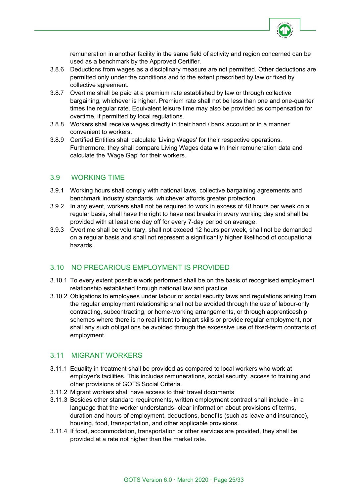

remuneration in another facility in the same field of activity and region concerned can be used as a benchmark by the Approved Certifier.

- 3.8.6 Deductions from wages as a disciplinary measure are not permitted. Other deductions are permitted only under the conditions and to the extent prescribed by law or fixed by collective agreement.
- 3.8.7 Overtime shall be paid at a premium rate established by law or through collective bargaining, whichever is higher. Premium rate shall not be less than one and one-quarter times the regular rate. Equivalent leisure time may also be provided as compensation for overtime, if permitted by local regulations.
- 3.8.8 Workers shall receive wages directly in their hand / bank account or in a manner convenient to workers.
- 3.8.9 Certified Entities shall calculate 'Living Wages' for their respective operations. Furthermore, they shall compare Living Wages data with their remuneration data and calculate the 'Wage Gap' for their workers.

## <span id="page-24-0"></span>3.9 WORKING TIME

- 3.9.1 Working hours shall comply with national laws, collective bargaining agreements and benchmark industry standards, whichever affords greater protection.
- 3.9.2 In any event, workers shall not be required to work in excess of 48 hours per week on a regular basis, shall have the right to have rest breaks in every working day and shall be provided with at least one day off for every 7-day period on average.
- 3.9.3 Overtime shall be voluntary, shall not exceed 12 hours per week, shall not be demanded on a regular basis and shall not represent a significantly higher likelihood of occupational hazards.

# <span id="page-24-1"></span>3.10 NO PRECARIOUS EMPLOYMENT IS PROVIDED

- 3.10.1 To every extent possible work performed shall be on the basis of recognised employment relationship established through national law and practice.
- 3.10.2 Obligations to employees under labour or social security laws and regulations arising from the regular employment relationship shall not be avoided through the use of labour-only contracting, subcontracting, or home-working arrangements, or through apprenticeship schemes where there is no real intent to impart skills or provide regular employment, nor shall any such obligations be avoided through the excessive use of fixed-term contracts of employment.

# <span id="page-24-2"></span>3.11 MIGRANT WORKERS

- 3.11.1 Equality in treatment shall be provided as compared to local workers who work at employer's facilities. This includes remunerations, social security, access to training and other provisions of GOTS Social Criteria.
- 3.11.2 Migrant workers shall have access to their travel documents
- 3.11.3 Besides other standard requirements, written employment contract shall include in a language that the worker understands- clear information about provisions of terms, duration and hours of employment, deductions, benefits (such as leave and insurance), housing, food, transportation, and other applicable provisions.
- 3.11.4 If food, accommodation, transportation or other services are provided, they shall be provided at a rate not higher than the market rate.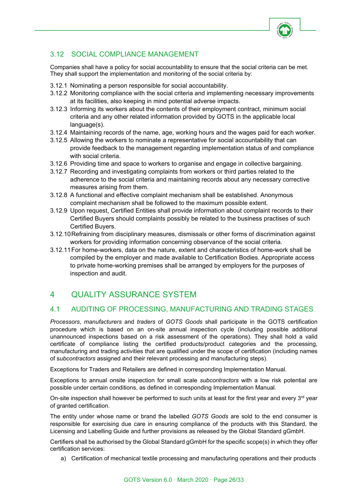

# <span id="page-25-0"></span>3.12 SOCIAL COMPLIANCE MANAGEMENT

Companies shall have a policy for social accountability to ensure that the social criteria can be met. They shall support the implementation and monitoring of the social criteria by:

- 3.12.1 Nominating a person responsible for social accountability.
- 3.12.2 Monitoring compliance with the social criteria and implementing necessary improvements at its facilities, also keeping in mind potential adverse impacts.
- 3.12.3 Informing its workers about the contents of their employment contract, minimum social criteria and any other related information provided by GOTS in the applicable local language(s).
- 3.12.4 Maintaining records of the name, age, working hours and the wages paid for each worker.
- 3.12.5 Allowing the workers to nominate a representative for social accountability that can provide feedback to the management regarding implementation status of and compliance with social criteria.
- 3.12.6 Providing time and space to workers to organise and engage in collective bargaining.
- 3.12.7 Recording and investigating complaints from workers or third parties related to the adherence to the social criteria and maintaining records about any necessary corrective measures arising from them.
- 3.12.8 A functional and effective complaint mechanism shall be established. Anonymous complaint mechanism shall be followed to the maximum possible extent.
- 3.12.9 Upon request, Certified Entities shall provide information about complaint records to their Certified Buyers should complaints possibly be related to the business practises of such Certified Buyers.
- 3.12.10Refraining from disciplinary measures, dismissals or other forms of discrimination against workers for providing information concerning observance of the social criteria.
- 3.12.11For home-workers, data on the nature, extent and characteristics of home-work shall be compiled by the employer and made available to Certification Bodies. Appropriate access to private home-working premises shall be arranged by employers for the purposes of inspection and audit.

# <span id="page-25-1"></span>4 QUALITY ASSURANCE SYSTEM

# <span id="page-25-2"></span>4.1 AUDITING OF PROCESSING, MANUFACTURING AND TRADING STAGES

*Processors*, *manufacturers* and *traders* of *GOTS Goods* shall participate in the GOTS certification procedure which is based on an on-site annual inspection cycle (including possible additional unannounced inspections based on a risk assessment of the operations). They shall hold a valid certificate of compliance listing the certified products/product categories and the processing, manufacturing and trading activities that are qualified under the scope of certification (including names of s*ubcontractors* assigned and their relevant processing and manufacturing steps).

Exceptions for Traders and Retailers are defined in corresponding Implementation Manual.

Exceptions to annual onsite inspection for small scale *subcontractors* with a low risk potential are possible under certain conditions, as defined in corresponding Implementation Manual.

On-site inspection shall however be performed to such units at least for the first year and every 3<sup>rd</sup> year of granted certification.

The entity under whose name or brand the labelled *GOTS Goods* are sold to the end consumer is responsible for exercising due care in ensuring compliance of the products with this Standard, the Licensing and Labelling Guide and further provisions as released by the Global Standard gGmbH.

Certifiers shall be authorised by the Global Standard gGmbH for the specific scope(s) in which they offer certification services:

a) Certification of mechanical textile processing and manufacturing operations and their products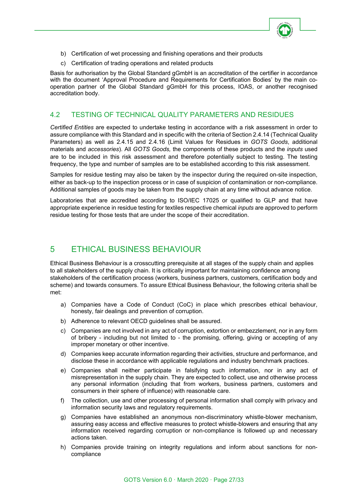

- b) Certification of wet processing and finishing operations and their products
- c) Certification of trading operations and related products

Basis for authorisation by the Global Standard gGmbH is an accreditation of the certifier in accordance with the document 'Approval Procedure and Requirements for Certification Bodies' by the main cooperation partner of the Global Standard gGmbH for this process, IOAS, or another recognised accreditation body.

# <span id="page-26-0"></span>4.2 TESTING OF TECHNICAL QUALITY PARAMETERS AND RESIDUES

*Certified Entities* are expected to undertake testing in accordance with a risk assessment in order to assure compliance with this Standard and in specific with the criteria of Section 2.4.14 (Technical Quality Parameters) as well as 2.4.15 and 2.4.16 (Limit Values for Residues in *GOTS Goods*, additional materials and *accessories*). All *GOTS Goods,* the components of these products and the *inputs* used are to be included in this risk assessment and therefore potentially subject to testing. The testing frequency, the type and number of samples are to be established according to this risk assessment.

Samples for residue testing may also be taken by the inspector during the required on-site inspection, either as back-up to the inspection process or in case of suspicion of contamination or non-compliance. Additional samples of goods may be taken from the supply chain at any time without advance notice.

Laboratories that are accredited according to ISO/IEC 17025 or qualified to GLP and that have appropriate experience in residue testing for textiles respective chemical *inputs* are approved to perform residue testing for those tests that are under the scope of their accreditation.

# <span id="page-26-1"></span>5 ETHICAL BUSINESS BEHAVIOUR

Ethical Business Behaviour is a crosscutting prerequisite at all stages of the supply chain and applies to all stakeholders of the supply chain. It is critically important for maintaining confidence among stakeholders of the certification process (workers, business partners, customers, certification body and scheme) and towards consumers. To assure Ethical Business Behaviour, the following criteria shall be met:

- a) Companies have a Code of Conduct (CoC) in place which prescribes ethical behaviour, honesty, fair dealings and prevention of corruption.
- b) Adherence to relevant OECD guidelines shall be assured.
- c) Companies are not involved in any act of corruption, extortion or embezzlement, nor in any form of bribery - including but not limited to - the promising, offering, giving or accepting of any improper monetary or other incentive.
- d) Companies keep accurate information regarding their activities, structure and performance, and disclose these in accordance with applicable regulations and industry benchmark practices.
- e) Companies shall neither participate in falsifying such information, nor in any act of misrepresentation in the supply chain. They are expected to collect, use and otherwise process any personal information (including that from workers, business partners, customers and consumers in their sphere of influence) with reasonable care.
- f) The collection, use and other processing of personal information shall comply with privacy and information security laws and regulatory requirements.
- g) Companies have established an anonymous non-discriminatory whistle-blower mechanism, assuring easy access and effective measures to protect whistle-blowers and ensuring that any information received regarding corruption or non-compliance is followed up and necessary actions taken.
- h) Companies provide training on integrity regulations and inform about sanctions for noncompliance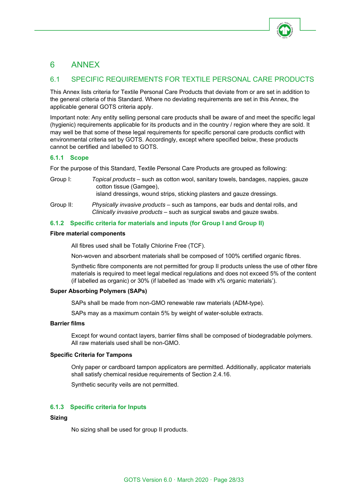

# <span id="page-27-0"></span>6 ANNEX

# <span id="page-27-1"></span>6.1 SPECIFIC REQUIREMENTS FOR TEXTILE PERSONAL CARE PRODUCTS

This Annex lists criteria for Textile Personal Care Products that deviate from or are set in addition to the general criteria of this Standard. Where no deviating requirements are set in this Annex, the applicable general GOTS criteria apply.

Important note: Any entity selling personal care products shall be aware of and meet the specific legal (hygienic) requirements applicable for its products and in the country / region where they are sold. It may well be that some of these legal requirements for specific personal care products conflict with environmental criteria set by GOTS. Accordingly, except where specified below, these products cannot be certified and labelled to GOTS.

## **6.1.1 Scope**

For the purpose of this Standard, Textile Personal Care Products are grouped as following:

| Group I:  | Topical products – such as cotton wool, sanitary towels, bandages, nappies, gauze<br>cotton tissue (Gamgee),<br>island dressings, wound strips, sticking plasters and gauze dressings. |
|-----------|----------------------------------------------------------------------------------------------------------------------------------------------------------------------------------------|
| Group II: | <i>Physically invasive products</i> – such as tampons, ear buds and dental rolls, and<br>Clinically invasive products – such as surgical swabs and gauze swabs.                        |

## **6.1.2 Specific criteria for materials and inputs (for Group I and Group II)**

#### **Fibre material components**

All fibres used shall be Totally Chlorine Free (TCF).

Non-woven and absorbent materials shall be composed of 100% certified organic fibres.

Synthetic fibre components are not permitted for group II products unless the use of other fibre materials is required to meet legal medical regulations and does not exceed 5% of the content (if labelled as organic) or 30% (if labelled as 'made with x% organic materials').

#### **Super Absorbing Polymers (SAPs)**

SAPs shall be made from non-GMO renewable raw materials (ADM-type).

SAPs may as a maximum contain 5% by weight of water-soluble extracts.

#### **Barrier films**

Except for wound contact layers, barrier films shall be composed of biodegradable polymers. All raw materials used shall be non-GMO.

#### **Specific Criteria for Tampons**

Only paper or cardboard tampon applicators are permitted. Additionally, applicator materials shall satisfy chemical residue requirements of Section 2.4.16.

Synthetic security veils are not permitted.

#### **6.1.3 Specific criteria for Inputs**

#### **Sizing**

No sizing shall be used for group II products.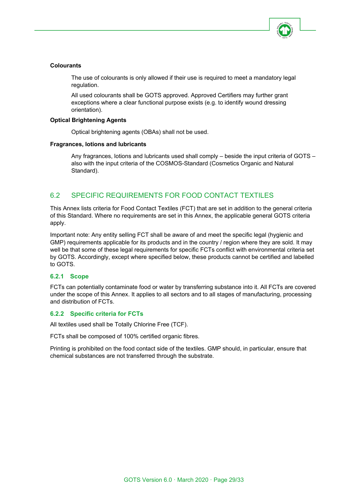

## **Colourants**

The use of colourants is only allowed if their use is required to meet a mandatory legal regulation.

All used colourants shall be GOTS approved. Approved Certifiers may further grant exceptions where a clear functional purpose exists (e.g. to identify wound dressing orientation).

#### **Optical Brightening Agents**

Optical brightening agents (OBAs) shall not be used.

#### **Fragrances, lotions and lubricants**

Any fragrances, lotions and lubricants used shall comply – beside the input criteria of GOTS – also with the input criteria of the COSMOS-Standard (Cosmetics Organic and Natural Standard).

# <span id="page-28-0"></span>6.2 SPECIFIC REQUIREMENTS FOR FOOD CONTACT TEXTILES

This Annex lists criteria for Food Contact Textiles (FCT) that are set in addition to the general criteria of this Standard. Where no requirements are set in this Annex, the applicable general GOTS criteria apply.

Important note: Any entity selling FCT shall be aware of and meet the specific legal (hygienic and GMP) requirements applicable for its products and in the country / region where they are sold. It may well be that some of these legal requirements for specific FCTs conflict with environmental criteria set by GOTS. Accordingly, except where specified below, these products cannot be certified and labelled to GOTS.

#### **6.2.1 Scope**

FCTs can potentially contaminate food or water by transferring substance into it. All FCTs are covered under the scope of this Annex. It applies to all sectors and to all stages of manufacturing, processing and distribution of FCTs.

#### **6.2.2 Specific criteria for FCTs**

All textiles used shall be Totally Chlorine Free (TCF).

FCTs shall be composed of 100% certified organic fibres.

Printing is prohibited on the food contact side of the textiles. GMP should, in particular, ensure that chemical substances are not transferred through the substrate.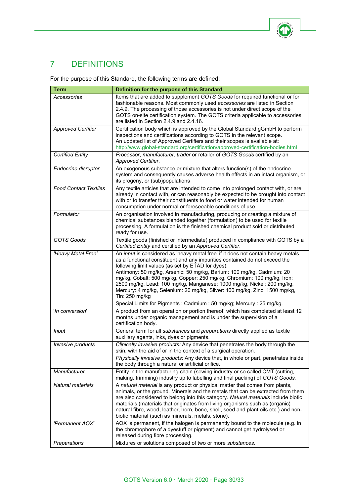

# <span id="page-29-0"></span>7 DEFINITIONS

For the purpose of this Standard, the following terms are defined:

| <b>Term</b>                  | Definition for the purpose of this Standard                                                                                                                                                                                                                                                                                                                                                                                                                                                                                                       |
|------------------------------|---------------------------------------------------------------------------------------------------------------------------------------------------------------------------------------------------------------------------------------------------------------------------------------------------------------------------------------------------------------------------------------------------------------------------------------------------------------------------------------------------------------------------------------------------|
| Accessories                  | Items that are added to supplement GOTS Goods for required functional or for<br>fashionable reasons. Most commonly used accessories are listed in Section<br>2.4.9. The processing of those accessories is not under direct scope of the<br>GOTS on-site certification system. The GOTS criteria applicable to accessories<br>are listed in Section 2.4.9 and 2.4.16.                                                                                                                                                                             |
| <b>Approved Certifier</b>    | Certification body which is approved by the Global Standard gGmbH to perform<br>inspections and certifications according to GOTS in the relevant scope.<br>An updated list of Approved Certifiers and their scopes is available at:<br>http://www.global-standard.org/certification/approved-certification-bodies.html                                                                                                                                                                                                                            |
| <b>Certified Entity</b>      | Processor, manufacturer, trader or retailer of GOTS Goods certified by an<br>Approved Certifier.                                                                                                                                                                                                                                                                                                                                                                                                                                                  |
| Endocrine disruptor          | An exogenous substance or mixture that alters function(s) of the endocrine<br>system and consequently causes adverse health effects in an intact organism, or<br>its progeny, or (sub)populations                                                                                                                                                                                                                                                                                                                                                 |
| <b>Food Contact Textiles</b> | Any textile articles that are intended to come into prolonged contact with, or are<br>already in contact with, or can reasonably be expected to be brought into contact<br>with or to transfer their constituents to food or water intended for human<br>consumption under normal or foreseeable conditions of use.                                                                                                                                                                                                                               |
| Formulator                   | An organisation involved in manufacturing, producing or creating a mixture of<br>chemical substances blended together (formulation) to be used for textile<br>processing. A formulation is the finished chemical product sold or distributed<br>ready for use.                                                                                                                                                                                                                                                                                    |
| GOTS Goods                   | Textile goods (finished or intermediate) produced in compliance with GOTS by a<br>Certified Entity and certified by an Approved Certifier.                                                                                                                                                                                                                                                                                                                                                                                                        |
| 'Heavy Metal Free'           | An input is considered as 'heavy metal free' if it does not contain heavy metals<br>as a functional constituent and any impurities contained do not exceed the<br>following limit values (as set by ETAD for dyes):<br>Antimony: 50 mg/kg, Arsenic: 50 mg/kg, Barium: 100 mg/kg, Cadmium: 20<br>mg/kg, Cobalt: 500 mg/kg, Copper: 250 mg/kg, Chromium: 100 mg/kg, Iron:<br>2500 mg/kg, Lead: 100 mg/kg, Manganese: 1000 mg/kg, Nickel: 200 mg/kg,<br>Mercury: 4 mg/kg, Selenium: 20 mg/kg, Silver: 100 mg/kg, Zinc: 1500 mg/kg,<br>Tin: 250 mg/kg |
| 'In conversion'              | Special Limits for Pigments: Cadmium: 50 mg/kg; Mercury: 25 mg/kg.<br>A product from an operation or portion thereof, which has completed at least 12<br>months under organic management and is under the supervision of a<br>certification body.                                                                                                                                                                                                                                                                                                 |
| Input                        | General term for all substances and preparations directly applied as textile<br>auxiliary agents, inks, dyes or pigments.                                                                                                                                                                                                                                                                                                                                                                                                                         |
| Invasive products            | Clinically invasive products: Any device that penetrates the body through the<br>skin, with the aid of or in the context of a surgical operation.<br><i>Physically invasive products:</i> Any device that, in whole or part, penetrates inside<br>the body through a natural or artificial orifice.                                                                                                                                                                                                                                               |
| Manufacturer                 | Entity in the manufacturing chain (sewing industry or so called CMT (cutting,<br>making, trimming) industry up to labelling and final packing) of GOTS Goods.                                                                                                                                                                                                                                                                                                                                                                                     |
| Natural materials            | A natural material is any product or physical matter that comes from plants,<br>animals, or the ground. Minerals and the metals that can be extracted from them<br>are also considered to belong into this category. Natural materials include biotic<br>materials (materials that originates from living organisms such as (organic)<br>natural fibre, wood, leather, horn, bone, shell, seed and plant oils etc.) and non-<br>biotic material (such as minerals, metals, stone).                                                                |
| 'Permanent AOX'              | AOX is permanent, if the halogen is permanently bound to the molecule (e.g. in<br>the chromophore of a dyestuff or pigment) and cannot get hydrolysed or<br>released during fibre processing.                                                                                                                                                                                                                                                                                                                                                     |
| Preparations                 | Mixtures or solutions composed of two or more substances.                                                                                                                                                                                                                                                                                                                                                                                                                                                                                         |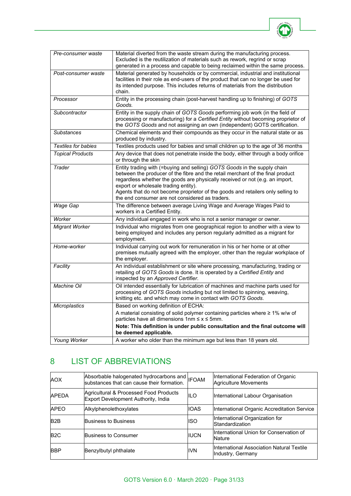

| Pre-consumer waste         | Material diverted from the waste stream during the manufacturing process.<br>Excluded is the reutilization of materials such as rework, regrind or scrap<br>generated in a process and capable to being reclaimed within the same process.                                                                                                                                                                               |
|----------------------------|--------------------------------------------------------------------------------------------------------------------------------------------------------------------------------------------------------------------------------------------------------------------------------------------------------------------------------------------------------------------------------------------------------------------------|
| Post-consumer waste        | Material generated by households or by commercial, industrial and institutional<br>facilities in their role as end-users of the product that can no longer be used for<br>its intended purpose. This includes returns of materials from the distribution<br>chain.                                                                                                                                                       |
| Processor                  | Entity in the processing chain (post-harvest handling up to finishing) of GOTS<br>Goods.                                                                                                                                                                                                                                                                                                                                 |
| Subcontractor              | Entity in the supply chain of GOTS Goods performing job work (in the field of<br>processing or manufacturing) for a Certified Entity without becoming proprietor of<br>the GOTS Goods and not assigning an own (independent) GOTS certification.                                                                                                                                                                         |
| <b>Substances</b>          | Chemical elements and their compounds as they occur in the natural state or as<br>produced by industry.                                                                                                                                                                                                                                                                                                                  |
| <b>Textiles for babies</b> | Textiles products used for babies and small children up to the age of 36 months                                                                                                                                                                                                                                                                                                                                          |
| <b>Topical Products</b>    | Any device that does not penetrate inside the body, either through a body orifice<br>or through the skin                                                                                                                                                                                                                                                                                                                 |
| Trader                     | Entity trading with (=buying and selling) GOTS Goods in the supply chain<br>between the producer of the fibre and the retail merchant of the final product<br>regardless whether the goods are physically received or not (e.g. an import,<br>export or wholesale trading entity).<br>Agents that do not become proprietor of the goods and retailers only selling to<br>the end consumer are not considered as traders. |
| Wage Gap                   | The difference between average Living Wage and Average Wages Paid to<br>workers in a Certified Entity.                                                                                                                                                                                                                                                                                                                   |
| Worker                     | Any individual engaged in work who is not a senior manager or owner.                                                                                                                                                                                                                                                                                                                                                     |
| <b>Migrant Worker</b>      | Individual who migrates from one geographical region to another with a view to<br>being employed and includes any person regularly admitted as a migrant for<br>employment.                                                                                                                                                                                                                                              |
| Home-worker                | Individual carrying out work for remuneration in his or her home or at other<br>premises mutually agreed with the employer, other than the regular workplace of<br>the employer.                                                                                                                                                                                                                                         |
| Facility                   | An individual establishment or site where processing, manufacturing, trading or<br>retailing of GOTS Goods is done. It is operated by a Certified Entity and<br>inspected by an Approved Certifier.                                                                                                                                                                                                                      |
| <b>Machine Oil</b>         | Oil intended essentially for lubrication of machines and machine parts used for<br>processing of GOTS Goods including but not limited to spinning, weaving,<br>knitting etc. and which may come in contact with GOTS Goods.                                                                                                                                                                                              |
| Microplastics              | Based on working definition of ECHA:                                                                                                                                                                                                                                                                                                                                                                                     |
|                            | A material consisting of solid polymer containing particles where $\geq 1\%$ w/w of<br>particles have all dimensions $1nm \le x \le 5mm$ .                                                                                                                                                                                                                                                                               |
|                            | Note: This definition is under public consultation and the final outcome will<br>be deemed applicable.                                                                                                                                                                                                                                                                                                                   |
| Young Worker               | A worker who older than the minimum age but less than 18 years old.                                                                                                                                                                                                                                                                                                                                                      |

# <span id="page-30-0"></span>8 LIST OF ABBREVIATIONS

| <b>AOX</b>       | Absorbable halogenated hydrocarbons and IFOAM<br>substances that can cause their formation. |             | International Federation of Organic<br><b>Agriculture Movements</b> |
|------------------|---------------------------------------------------------------------------------------------|-------------|---------------------------------------------------------------------|
| <b>APEDA</b>     | Agricultural & Processed Food Products<br>Export Development Authority, India               | ILO         | International Labour Organisation                                   |
| <b>APEO</b>      | Alkylphenolethoxylates                                                                      | <b>IOAS</b> | International Organic Accreditation Service                         |
| B <sub>2</sub> B | Business to Business                                                                        | ISO         | International Organization for<br>Standardization                   |
| B <sub>2</sub> C | Business to Consumer                                                                        | <b>IUCN</b> | International Union for Conservation of<br><b>Nature</b>            |
| <b>BBP</b>       | Benzylbutyl phthalate                                                                       | <b>IVN</b>  | IInternational Association Natural Textile<br>Industry, Germany     |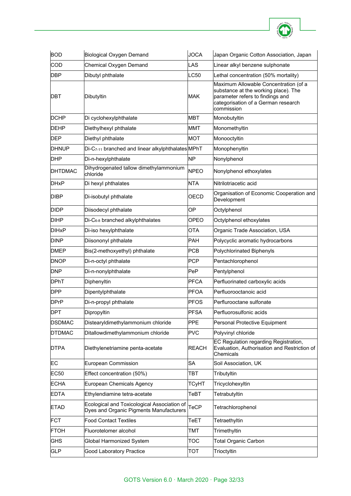

| <b>BOD</b>              | Biological Oxygen Demand                                                               | <b>JOCA</b>  | Japan Organic Cotton Association, Japan                                                                                                                                |
|-------------------------|----------------------------------------------------------------------------------------|--------------|------------------------------------------------------------------------------------------------------------------------------------------------------------------------|
| COD                     | Chemical Oxygen Demand                                                                 | LAS          | Linear alkyl benzene sulphonate                                                                                                                                        |
| <b>DBP</b>              | Dibutyl phthalate                                                                      | LC50         | Lethal concentration (50% mortality)                                                                                                                                   |
| DBT                     | Dibutyltin                                                                             | <b>MAK</b>   | Maximum Allowable Concentration (of a<br>substance at the working place). The<br>parameter refers to findings and<br>categorisation of a German research<br>commission |
| DCHP                    | Di cyclohexylphthalate                                                                 | <b>MBT</b>   | Monobutyltin                                                                                                                                                           |
| <b>DEHP</b>             | Diethylhexyl phthalate                                                                 | <b>MMT</b>   | Monomethyltin                                                                                                                                                          |
| <b>DEP</b>              | Diethyl phthalate                                                                      | <b>MOT</b>   | Monooctyltin                                                                                                                                                           |
| DHNUP                   | Di-C <sub>7-11</sub> branched and linear alkylphthalates MPhT                          |              | Monophenyltin                                                                                                                                                          |
| DHP                     | Di-n-hexylphthalate                                                                    | <b>NP</b>    | Nonylphenol                                                                                                                                                            |
| <b>DHTDMAC</b>          | Dihydrogenated tallow dimethylammonium<br>chloride                                     | <b>NPEO</b>  | Nonylphenol ethoxylates                                                                                                                                                |
| <b>DHxP</b>             | Di hexyl phthalates                                                                    | <b>NTA</b>   | Nitrilotriacetic acid                                                                                                                                                  |
| <b>DIBP</b>             | Di-isobutyl phthalate                                                                  | OECD         | Organisation of Economic Cooperation and<br>Development                                                                                                                |
| DIDP                    | Diisodecyl phthalate                                                                   | ΟP           | Octylphenol                                                                                                                                                            |
| <b>DIHP</b>             | Di-C <sub>6-8</sub> branched alkylphthalates                                           | <b>OPEO</b>  | Octylphenol ethoxylates                                                                                                                                                |
| <b>DIH<sub>x</sub>P</b> | Di-iso hexylphthalate                                                                  | <b>OTA</b>   | Organic Trade Association, USA                                                                                                                                         |
| <b>DINP</b>             | Diisononyl phthalate                                                                   | <b>PAH</b>   | Polycyclic aromatic hydrocarbons                                                                                                                                       |
| DMEP                    | Bis(2-methoxyethyl) phthalate                                                          | <b>PCB</b>   | Polychlorinated Biphenyls                                                                                                                                              |
| <b>DNOP</b>             | Di-n-octyl phthalate                                                                   | <b>PCP</b>   | Pentachlorophenol                                                                                                                                                      |
| <b>DNP</b>              | Di-n-nonylphthalate                                                                    | PeP          | Pentylphenol                                                                                                                                                           |
| <b>DPhT</b>             | Diphenyltin                                                                            | <b>PFCA</b>  | Perfluorinated carboxylic acids                                                                                                                                        |
| <b>DPP</b>              | Dipentylphthalate                                                                      | <b>PFOA</b>  | Perfluorooctanoic acid                                                                                                                                                 |
| <b>DPrP</b>             | Di-n-propyl phthalate                                                                  | <b>PFOS</b>  | Perflurooctane sulfonate                                                                                                                                               |
| <b>DPT</b>              | Dipropyltin                                                                            | <b>PFSA</b>  | Perfluorosulfonic acids                                                                                                                                                |
| <b>DSDMAC</b>           | Distearyldimethylammonium chloride                                                     | <b>PPE</b>   | Personal Protective Equipment                                                                                                                                          |
| <b>DTDMAC</b>           | Ditallowdimethylammonium chloride                                                      | <b>PVC</b>   | Polyvinyl chloride                                                                                                                                                     |
| <b>DTPA</b>             | Diethylenetriamine penta-acetate                                                       | <b>REACH</b> | EC Regulation regarding Registration,<br>Evaluation, Authorisation and Restriction of<br>Chemicals                                                                     |
| EC                      | <b>European Commission</b>                                                             | <b>SA</b>    | Soil Association, UK                                                                                                                                                   |
| EC50                    | Effect concentration (50%)                                                             | TBT          | Tributyltin                                                                                                                                                            |
| <b>ECHA</b>             | European Chemicals Agency                                                              | <b>TCyHT</b> | Tricyclohexyltin                                                                                                                                                       |
| <b>EDTA</b>             | Ethylendiamine tetra-acetate                                                           | TeBT         | Tetrabutyltin                                                                                                                                                          |
| <b>ETAD</b>             | Ecological and Toxicological Association of<br>Dyes and Organic Pigments Manufacturers | TeCP         | Tetrachlorophenol                                                                                                                                                      |
| <b>FCT</b>              | <b>Food Contact Textiles</b>                                                           | TeET         | Tetraethyltin                                                                                                                                                          |
| <b>FTOH</b>             | Fluorotelomer alcohol                                                                  | TMT          | Trimethyltin                                                                                                                                                           |
| <b>GHS</b>              | Global Harmonized System                                                               | TOC          | <b>Total Organic Carbon</b>                                                                                                                                            |
| <b>GLP</b>              | Good Laboratory Practice                                                               | тот          | Trioctyltin                                                                                                                                                            |